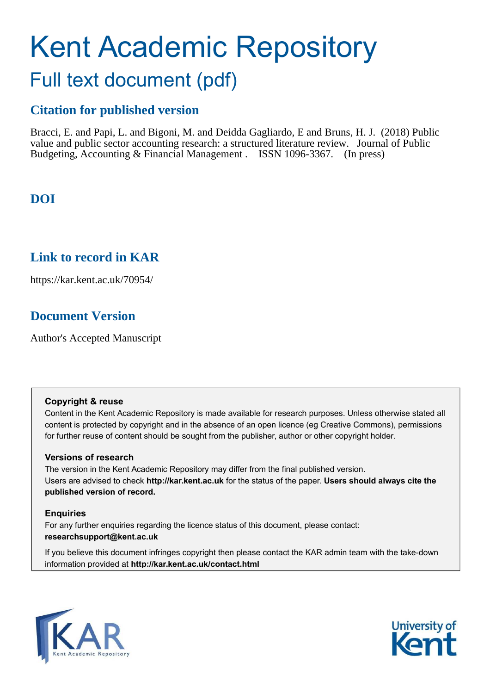# Kent Academic Repository Full text document (pdf)

## **Citation for published version**

Bracci, E. and Papi, L. and Bigoni, M. and Deidda Gagliardo, E and Bruns, H. J. (2018) Public value and public sector accounting research: a structured literature review. Journal of Public Budgeting, Accounting & Financial Management . ISSN 1096-3367. (In press)

# **DOI**

## **Link to record in KAR**

https://kar.kent.ac.uk/70954/

# **Document Version**

Author's Accepted Manuscript

#### **Copyright & reuse**

Content in the Kent Academic Repository is made available for research purposes. Unless otherwise stated all content is protected by copyright and in the absence of an open licence (eg Creative Commons), permissions for further reuse of content should be sought from the publisher, author or other copyright holder.

#### **Versions of research**

The version in the Kent Academic Repository may differ from the final published version. Users are advised to check **http://kar.kent.ac.uk** for the status of the paper. **Users should always cite the published version of record.**

## **Enquiries**

For any further enquiries regarding the licence status of this document, please contact: **researchsupport@kent.ac.uk**

If you believe this document infringes copyright then please contact the KAR admin team with the take-down information provided at **http://kar.kent.ac.uk/contact.html**



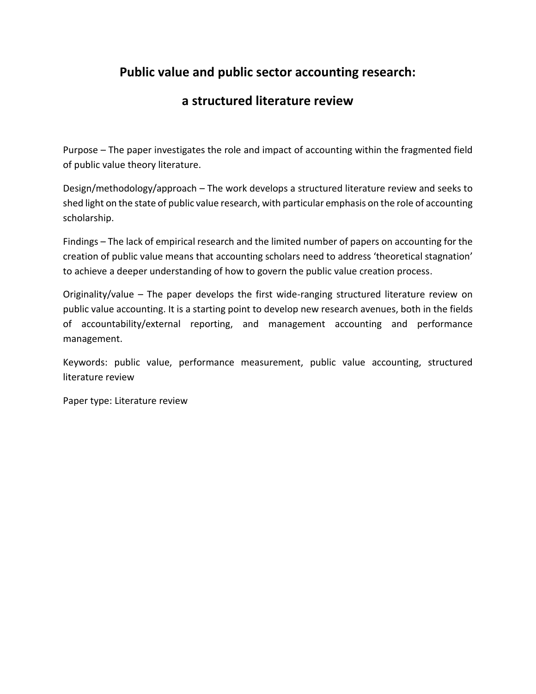## **Public value and public sector accounting research:**

## **a structured literature review**

Purpose – The paper investigates the role and impact of accounting within the fragmented field of public value theory literature.

Design/methodology/approach – The work develops a structured literature review and seeks to shed light on the state of public value research, with particular emphasis on the role of accounting scholarship.

Findings - The lack of empirical research and the limited number of papers on accounting for the creation of public value means that accounting scholars need to address 'theoretical stagnation' to achieve a deeper understanding of how to govern the public value creation process.

Originality/value - The paper develops the first wide-ranging structured literature review on public value accounting. It is a starting point to develop new research avenues, both in the fields of accountability/external reporting, and management accounting and performance management.

Keywords: public value, performance measurement, public value accounting, structured literature review

Paper type: Literature review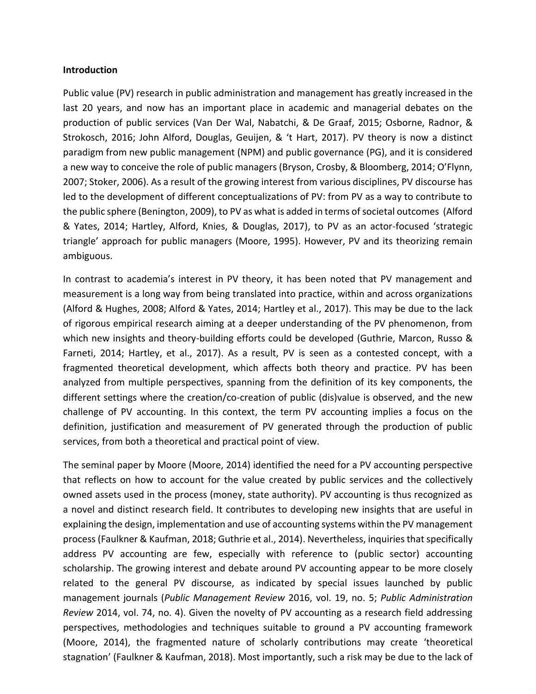#### **Introduction**

Public value (PV) research in public administration and management has greatly increased in the last 20 years, and now has an important place in academic and managerial debates on the production of public services (Van Der Wal, Nabatchi, & De Graaf, 2015; Osborne, Radnor, & Strokosch, 2016; John Alford, Douglas, Geuijen, & 't Hart, 2017). PV theory is now a distinct paradigm from new public management (NPM) and public governance (PG), and it is considered a new way to conceive the role of public managers (Bryson, Crosby, & Bloomberg, 2014; O'Flynn, 2007; Stoker, 2006). As a result of the growing interest from various disciplines, PV discourse has led to the development of different conceptualizations of PV: from PV as a way to contribute to the public sphere (Benington, 2009), to PV as what is added in terms of societal outcomes (Alford & Yates, 2014; Hartley, Alford, Knies, & Douglas, 2017), to PV as an actor-focused 'strategic triangle' approach for public managers (Moore, 1995). However, PV and its theorizing remain ambiguous.

In contrast to academia's interest in PV theory, it has been noted that PV management and measurement is a long way from being translated into practice, within and across organizations (Alford & Hughes, 2008; Alford & Yates, 2014; Hartley et al., 2017). This may be due to the lack of rigorous empirical research aiming at a deeper understanding of the PV phenomenon, from which new insights and theory-building efforts could be developed (Guthrie, Marcon, Russo & Farneti, 2014; Hartley, et al., 2017). As a result, PV is seen as a contested concept, with a fragmented theoretical development, which affects both theory and practice. PV has been analyzed from multiple perspectives, spanning from the definition of its key components, the different settings where the creation/co-creation of public (dis)value is observed, and the new challenge of PV accounting. In this context, the term PV accounting implies a focus on the definition, justification and measurement of PV generated through the production of public services, from both a theoretical and practical point of view.

The seminal paper by Moore (Moore, 2014) identified the need for a PV accounting perspective that reflects on how to account for the value created by public services and the collectively owned assets used in the process (money, state authority). PV accounting is thus recognized as a novel and distinct research field. It contributes to developing new insights that are useful in explaining the design, implementation and use of accounting systems within the PV management process (Faulkner & Kaufman, 2018; Guthrie et al., 2014). Nevertheless, inquiries that specifically address PV accounting are few, especially with reference to (public sector) accounting scholarship. The growing interest and debate around PV accounting appear to be more closely related to the general PV discourse, as indicated by special issues launched by public management journals (*Public Management Review* 2016, vol. 19, no. 5; *Public Administration Review* 2014, vol. 74, no. 4). Given the novelty of PV accounting as a research field addressing perspectives, methodologies and techniques suitable to ground a PV accounting framework (Moore, 2014), the fragmented nature of scholarly contributions may create 'theoretical stagnation' (Faulkner & Kaufman, 2018). Most importantly, such a risk may be due to the lack of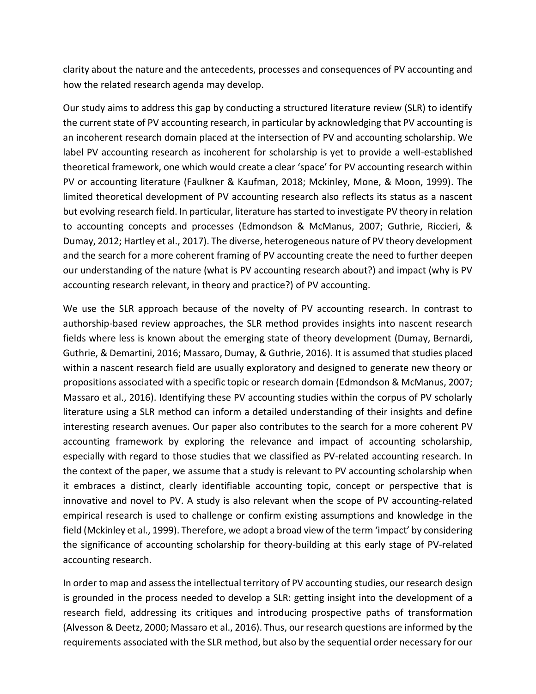clarity about the nature and the antecedents, processes and consequences of PV accounting and how the related research agenda may develop.

Our study aims to address this gap by conducting a structured literature review (SLR) to identify the current state of PV accounting research, in particular by acknowledging that PV accounting is an incoherent research domain placed at the intersection of PV and accounting scholarship. We label PV accounting research as incoherent for scholarship is yet to provide a well-established theoretical framework, one which would create a clear 'space' for PV accounting research within PV or accounting literature (Faulkner & Kaufman, 2018; Mckinley, Mone, & Moon, 1999). The limited theoretical development of PV accounting research also reflects its status as a nascent but evolving research field. In particular, literature has started to investigate PV theory in relation to accounting concepts and processes (Edmondson & McManus, 2007; Guthrie, Riccieri, & Dumay, 2012; Hartley et al., 2017). The diverse, heterogeneous nature of PV theory development and the search for a more coherent framing of PV accounting create the need to further deepen our understanding of the nature (what is PV accounting research about?) and impact (why is PV accounting research relevant, in theory and practice?) of PV accounting.

We use the SLR approach because of the novelty of PV accounting research. In contrast to authorship-based review approaches, the SLR method provides insights into nascent research fields where less is known about the emerging state of theory development (Dumay, Bernardi, Guthrie, & Demartini, 2016; Massaro, Dumay, & Guthrie, 2016). It is assumed that studies placed within a nascent research field are usually exploratory and designed to generate new theory or propositions associated with a specific topic or research domain (Edmondson & McManus, 2007; Massaro et al., 2016). Identifying these PV accounting studies within the corpus of PV scholarly literature using a SLR method can inform a detailed understanding of their insights and define interesting research avenues. Our paper also contributes to the search for a more coherent PV accounting framework by exploring the relevance and impact of accounting scholarship, especially with regard to those studies that we classified as PV-related accounting research. In the context of the paper, we assume that a study is relevant to PV accounting scholarship when it embraces a distinct, clearly identifiable accounting topic, concept or perspective that is innovative and novel to PV. A study is also relevant when the scope of PV accounting-related empirical research is used to challenge or confirm existing assumptions and knowledge in the field (Mckinley et al., 1999). Therefore, we adopt a broad view of the term 'impact' by considering the significance of accounting scholarship for theory-building at this early stage of PV-related accounting research.

In order to map and assess the intellectual territory of PV accounting studies, our research design is grounded in the process needed to develop a SLR: getting insight into the development of a research field, addressing its critiques and introducing prospective paths of transformation (Alvesson & Deetz, 2000; Massaro et al., 2016). Thus, our research questions are informed by the requirements associated with the SLR method, but also by the sequential order necessary for our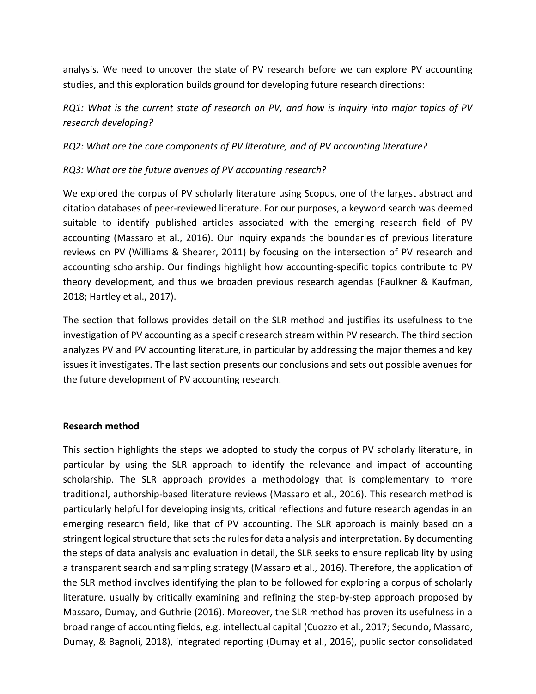analysis. We need to uncover the state of PV research before we can explore PV accounting studies, and this exploration builds ground for developing future research directions:

*RQ1: What is the current state of research on PV, and how is inquiry into major topics of PV research developing?* 

*RQ2: What are the core components of PV literature, and of PV accounting literature?* 

#### *RQ3: What are the future avenues of PV accounting research?*

We explored the corpus of PV scholarly literature using Scopus, one of the largest abstract and citation databases of peer-reviewed literature. For our purposes, a keyword search was deemed suitable to identify published articles associated with the emerging research field of PV accounting (Massaro et al., 2016). Our inquiry expands the boundaries of previous literature reviews on PV (Williams & Shearer, 2011) by focusing on the intersection of PV research and accounting scholarship. Our findings highlight how accounting-specific topics contribute to PV theory development, and thus we broaden previous research agendas (Faulkner & Kaufman, 2018; Hartley et al., 2017).

The section that follows provides detail on the SLR method and justifies its usefulness to the investigation of PV accounting as a specific research stream within PV research. The third section analyzes PV and PV accounting literature, in particular by addressing the major themes and key issues it investigates. The last section presents our conclusions and sets out possible avenues for the future development of PV accounting research.

#### **Research method**

This section highlights the steps we adopted to study the corpus of PV scholarly literature, in particular by using the SLR approach to identify the relevance and impact of accounting scholarship. The SLR approach provides a methodology that is complementary to more traditional, authorship-based literature reviews (Massaro et al., 2016). This research method is particularly helpful for developing insights, critical reflections and future research agendas in an emerging research field, like that of PV accounting. The SLR approach is mainly based on a stringent logical structure that sets the rules for data analysis and interpretation. By documenting the steps of data analysis and evaluation in detail, the SLR seeks to ensure replicability by using a transparent search and sampling strategy (Massaro et al., 2016). Therefore, the application of the SLR method involves identifying the plan to be followed for exploring a corpus of scholarly literature, usually by critically examining and refining the step-by-step approach proposed by Massaro, Dumay, and Guthrie (2016). Moreover, the SLR method has proven its usefulness in a broad range of accounting fields, e.g. intellectual capital (Cuozzo et al., 2017; Secundo, Massaro, Dumay, & Bagnoli, 2018), integrated reporting (Dumay et al., 2016), public sector consolidated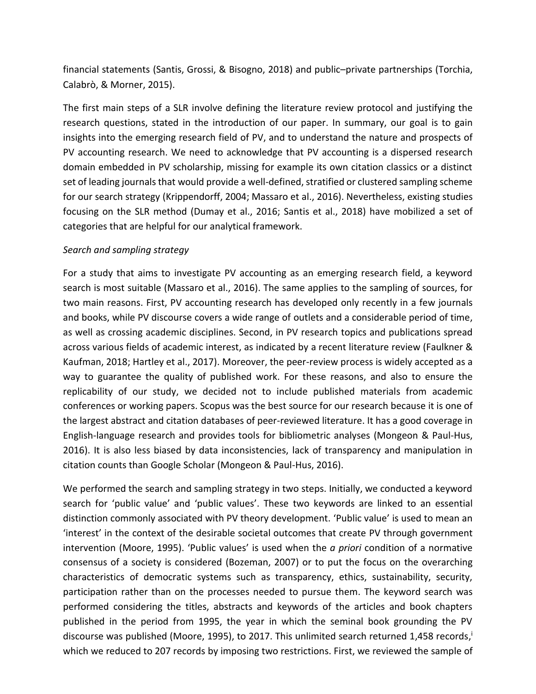financial statements (Santis, Grossi, & Bisogno, 2018) and public–private partnerships (Torchia, Calabrò, & Morner, 2015).

The first main steps of a SLR involve defining the literature review protocol and justifying the research questions, stated in the introduction of our paper. In summary, our goal is to gain insights into the emerging research field of PV, and to understand the nature and prospects of PV accounting research. We need to acknowledge that PV accounting is a dispersed research domain embedded in PV scholarship, missing for example its own citation classics or a distinct set of leading journals that would provide a well-defined, stratified or clustered sampling scheme for our search strategy (Krippendorff, 2004; Massaro et al., 2016). Nevertheless, existing studies focusing on the SLR method (Dumay et al., 2016; Santis et al., 2018) have mobilized a set of categories that are helpful for our analytical framework.

#### *Search and sampling strategy*

For a study that aims to investigate PV accounting as an emerging research field, a keyword search is most suitable (Massaro et al., 2016). The same applies to the sampling of sources, for two main reasons. First, PV accounting research has developed only recently in a few journals and books, while PV discourse covers a wide range of outlets and a considerable period of time, as well as crossing academic disciplines. Second, in PV research topics and publications spread across various fields of academic interest, as indicated by a recent literature review (Faulkner & Kaufman, 2018; Hartley et al., 2017). Moreover, the peer-review process is widely accepted as a way to guarantee the quality of published work. For these reasons, and also to ensure the replicability of our study, we decided not to include published materials from academic conferences or working papers. Scopus was the best source for our research because it is one of the largest abstract and citation databases of peer-reviewed literature. It has a good coverage in English-language research and provides tools for bibliometric analyses (Mongeon & Paul-Hus, 2016). It is also less biased by data inconsistencies, lack of transparency and manipulation in citation counts than Google Scholar (Mongeon & Paul-Hus, 2016).

We performed the search and sampling strategy in two steps. Initially, we conducted a keyword search for 'public value' and 'public values'. These two keywords are linked to an essential distinction commonly associated with PV theory development. 'Public value' is used to mean an interest' in the context of the desirable societal outcomes that create PV through government intervention (Moore, 1995). 'Public values' is used when the *a priori* condition of a normative consensus of a society is considered (Bozeman, 2007) or to put the focus on the overarching characteristics of democratic systems such as transparency, ethics, sustainability, security, participation rather than on the processes needed to pursue them. The keyword search was performed considering the titles, abstracts and keywords of the articles and book chapters published in the period from 1995, the year in which the seminal book grounding the PV discourse was published (Moore, 1995), to 2017. This unlimited search returned 1,458 records, which we reduced to 207 records by imposing two restrictions. First, we reviewed the sample of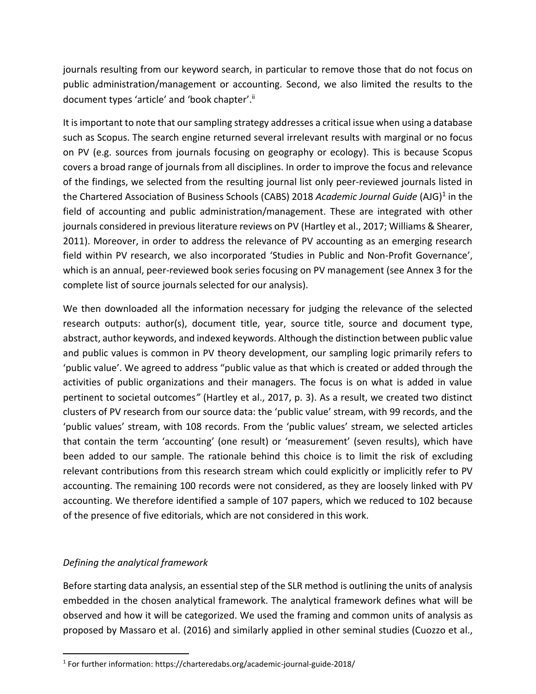journals resulting from our keyword search, in particular to remove those that do not focus on public administration/management or accounting. Second, we also limited the results to the document types 'article' and 'book chapter'.<sup>ii</sup>

It is important to note that our sampling strategy addresses a critical issue when using a database such as Scopus. The search engine returned several irrelevant results with marginal or no focus on PV (e.g. sources from journals focusing on geography or ecology). This is because Scopus covers a broad range of journals from all disciplines. In order to improve the focus and relevance of the findings, we selected from the resulting journal list only peer-reviewed journals listed in the Chartered Association of Business Schools (CABS) 2018 Academic Journal Guide (AJG)<sup>1</sup> in the field of accounting and public administration/management. These are integrated with other journals considered in previous literature reviews on PV (Hartley et al., 2017; Williams & Shearer, 2011). Moreover, in order to address the relevance of PV accounting as an emerging research field within PV research, we also incorporated 'Studies in Public and Non-Profit Governance', which is an annual, peer-reviewed book series focusing on PV management (see Annex 3 for the complete list of source journals selected for our analysis).

We then downloaded all the information necessary for judging the relevance of the selected research outputs: author(s), document title, year, source title, source and document type, abstract, author keywords, and indexed keywords. Although the distinction between public value and public values is common in PV theory development, our sampling logic primarily refers to 'public value'. We agreed to address "public value as that which is created or added through the activities of public organizations and their managers. The focus is on what is added in value pertinent to societal outcomes*ざ* (Hartley et al., 2017, p. 3). As a result, we created two distinct clusters of PV research from our source data: the 'public value' stream, with 99 records, and the 'public values' stream, with 108 records. From the 'public values' stream, we selected articles that contain the term 'accounting' (one result) or 'measurement' (seven results), which have been added to our sample. The rationale behind this choice is to limit the risk of excluding relevant contributions from this research stream which could explicitly or implicitly refer to PV accounting. The remaining 100 records were not considered, as they are loosely linked with PV accounting. We therefore identified a sample of 107 papers, which we reduced to 102 because of the presence of five editorials, which are not considered in this work.

## *Defining the analytical framework*

 $\overline{\phantom{0}}$ 

Before starting data analysis, an essential step of the SLR method is outlining the units of analysis embedded in the chosen analytical framework. The analytical framework defines what will be observed and how it will be categorized. We used the framing and common units of analysis as proposed by Massaro et al. (2016) and similarly applied in other seminal studies (Cuozzo et al.,

<sup>1</sup> For further information: https://charteredabs.org/academic-journal-guide-2018/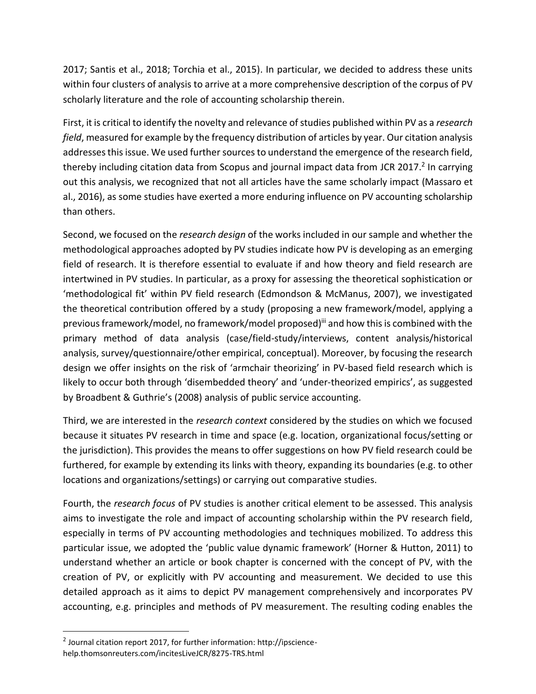2017; Santis et al., 2018; Torchia et al., 2015). In particular, we decided to address these units within four clusters of analysis to arrive at a more comprehensive description of the corpus of PV scholarly literature and the role of accounting scholarship therein.

First, it is critical to identify the novelty and relevance of studies published within PV as a *research field*, measured for example by the frequency distribution of articles by year. Our citation analysis addresses this issue. We used further sources to understand the emergence of the research field, thereby including citation data from Scopus and journal impact data from JCR 2017.<sup>2</sup> In carrying out this analysis, we recognized that not all articles have the same scholarly impact (Massaro et al., 2016), as some studies have exerted a more enduring influence on PV accounting scholarship than others.

Second, we focused on the *research design* of the works included in our sample and whether the methodological approaches adopted by PV studies indicate how PV is developing as an emerging field of research. It is therefore essential to evaluate if and how theory and field research are intertwined in PV studies. In particular, as a proxy for assessing the theoretical sophistication or 'methodological fit' within PV field research (Edmondson & McManus, 2007), we investigated the theoretical contribution offered by a study (proposing a new framework/model, applying a previous framework/model, no framework/model proposed)<sup>iii</sup> and how this is combined with the primary method of data analysis (case/field-study/interviews, content analysis/historical analysis, survey/questionnaire/other empirical, conceptual). Moreover, by focusing the research design we offer insights on the risk of 'armchair theorizing' in PV-based field research which is likely to occur both through 'disembedded theory' and 'under-theorized empirics', as suggested by Broadbent & Guthrie's (2008) analysis of public service accounting.

Third, we are interested in the *research context* considered by the studies on which we focused because it situates PV research in time and space (e.g. location, organizational focus/setting or the jurisdiction). This provides the means to offer suggestions on how PV field research could be furthered, for example by extending its links with theory, expanding its boundaries (e.g. to other locations and organizations/settings) or carrying out comparative studies.

Fourth, the *research focus* of PV studies is another critical element to be assessed. This analysis aims to investigate the role and impact of accounting scholarship within the PV research field, especially in terms of PV accounting methodologies and techniques mobilized. To address this particular issue, we adopted the 'public value dynamic framework' (Horner & Hutton, 2011) to understand whether an article or book chapter is concerned with the concept of PV, with the creation of PV, or explicitly with PV accounting and measurement. We decided to use this detailed approach as it aims to depict PV management comprehensively and incorporates PV accounting, e.g. principles and methods of PV measurement. The resulting coding enables the

 $\overline{a}$ 

 $<sup>2</sup>$  Journal citation report 2017, for further information: http://ipscience-</sup> help.thomsonreuters.com/incitesLiveJCR/8275-TRS.html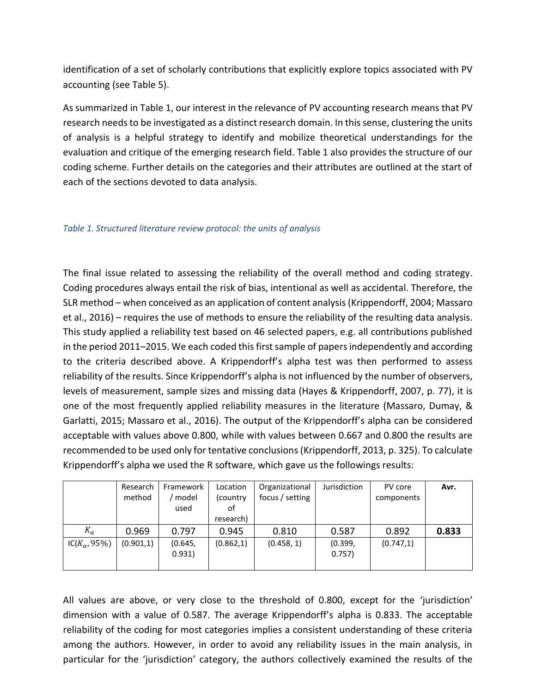identification of a set of scholarly contributions that explicitly explore topics associated with PV accounting (see Table 5).

As summarized in Table 1, our interest in the relevance of PV accounting research means that PV research needs to be investigated as a distinct research domain. In this sense, clustering the units of analysis is a helpful strategy to identify and mobilize theoretical understandings for the evaluation and critique of the emerging research field. Table 1 also provides the structure of our coding scheme. Further details on the categories and their attributes are outlined at the start of each of the sections devoted to data analysis.

#### *Table 1. Structured literature review protocol: the units of analysis*

The final issue related to assessing the reliability of the overall method and coding strategy. Coding procedures always entail the risk of bias, intentional as well as accidental. Therefore, the SLR method – when conceived as an application of content analysis (Krippendorff, 2004; Massaro et al., 2016) – requires the use of methods to ensure the reliability of the resulting data analysis. This study applied a reliability test based on 46 selected papers, e.g. all contributions published in the period 2011-2015. We each coded this first sample of papers independently and according to the criteria described above. A Krippendorff's alpha test was then performed to assess reliability of the results. Since Krippendorff's alpha is not influenced by the number of observers, levels of measurement, sample sizes and missing data (Hayes & Krippendorff, 2007, p. 77), it is one of the most frequently applied reliability measures in the literature (Massaro, Dumay, & Garlatti, 2015; Massaro et al., 2016). The output of the Krippendorff's alpha can be considered acceptable with values above 0.800, while with values between 0.667 and 0.800 the results are recommended to be used only for tentative conclusions (Krippendorff, 2013, p. 325). To calculate Krippendorff's alpha we used the R software, which gave us the followings results:

|                         | Research   | Framework | Location   | Organizational  | Jurisdiction | PV core    | Avr.  |
|-------------------------|------------|-----------|------------|-----------------|--------------|------------|-------|
|                         | method     | model     | (country)  | focus / setting |              | components |       |
|                         |            | used      | of         |                 |              |            |       |
|                         |            |           | research)  |                 |              |            |       |
| $K_{\alpha}$            | 0.969      | 0.797     | 0.945      | 0.810           | 0.587        | 0.892      | 0.833 |
| IC( $K_{\alpha}$ , 95%) | (0.901, 1) | (0.645,   | (0.862, 1) | (0.458, 1)      | (0.399,      | (0.747, 1) |       |
|                         |            | 0.931)    |            |                 | 0.757)       |            |       |
|                         |            |           |            |                 |              |            |       |

All values are above, or very close to the threshold of 0.800, except for the 'jurisdiction' dimension with a value of 0.587. The average Krippendorff's alpha is 0.833. The acceptable reliability of the coding for most categories implies a consistent understanding of these criteria among the authors. However, in order to avoid any reliability issues in the main analysis, in particular for the 'jurisdiction' category, the authors collectively examined the results of the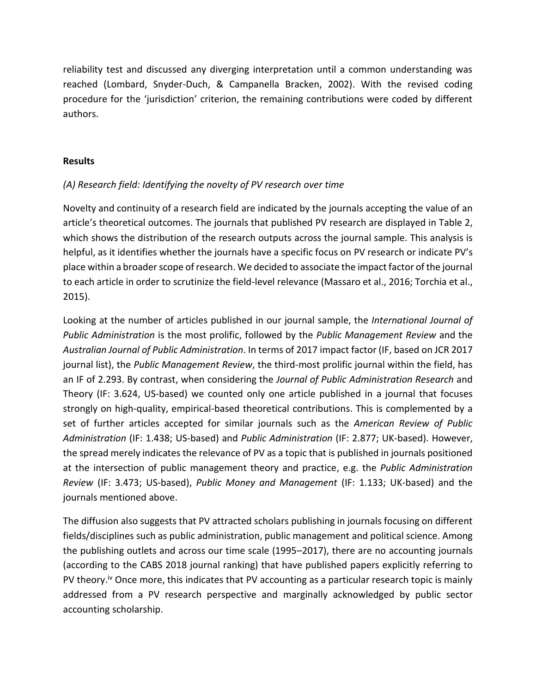reliability test and discussed any diverging interpretation until a common understanding was reached (Lombard, Snyder-Duch, & Campanella Bracken, 2002). With the revised coding procedure for the 'jurisdiction' criterion, the remaining contributions were coded by different authors.

#### **Results**

## *(A) Research field: Identifying the novelty of PV research over time*

Novelty and continuity of a research field are indicated by the journals accepting the value of an article's theoretical outcomes. The journals that published PV research are displayed in Table 2, which shows the distribution of the research outputs across the journal sample. This analysis is helpful, as it identifies whether the journals have a specific focus on PV research or indicate PV's place within a broader scope of research. We decided to associate the impact factor of the journal to each article in order to scrutinize the field-level relevance (Massaro et al., 2016; Torchia et al., 2015).

Looking at the number of articles published in our journal sample, the *International Journal of Public Administration* is the most prolific, followed by the *Public Management Review* and the *Australian Journal of Public Administration*. In terms of 2017 impact factor (IF, based on JCR 2017 journal list), the *Public Management Review*, the third-most prolific journal within the field, has an IF of 2.293. By contrast, when considering the *Journal of Public Administration Research* and Theory (IF: 3.624, US-based) we counted only one article published in a journal that focuses strongly on high-quality, empirical-based theoretical contributions. This is complemented by a set of further articles accepted for similar journals such as the *American Review of Public Administration* (IF: 1.438; US-based) and *Public Administration* (IF: 2.877; UK-based). However, the spread merely indicates the relevance of PV as a topic that is published in journals positioned at the intersection of public management theory and practice, e.g. the *Public Administration Review* (IF: 3.473; US-based), *Public Money and Management* (IF: 1.133; UK-based) and the journals mentioned above.

The diffusion also suggests that PV attracted scholars publishing in journals focusing on different fields/disciplines such as public administration, public management and political science. Among the publishing outlets and across our time scale (1995–2017), there are no accounting journals (according to the CABS 2018 journal ranking) that have published papers explicitly referring to PV theory.<sup>iv</sup> Once more, this indicates that PV accounting as a particular research topic is mainly addressed from a PV research perspective and marginally acknowledged by public sector accounting scholarship.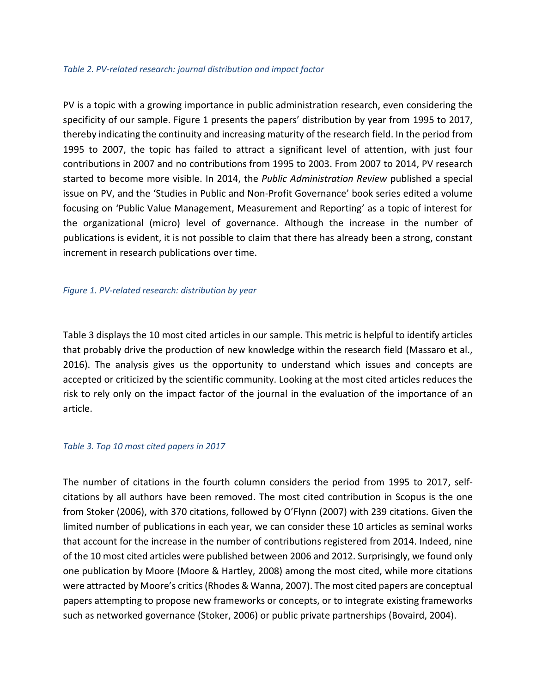#### *Table 2. PV-related research: journal distribution and impact factor*

PV is a topic with a growing importance in public administration research, even considering the specificity of our sample. Figure 1 presents the papers' distribution by year from 1995 to 2017, thereby indicating the continuity and increasing maturity of the research field. In the period from 1995 to 2007, the topic has failed to attract a significant level of attention, with just four contributions in 2007 and no contributions from 1995 to 2003. From 2007 to 2014, PV research started to become more visible. In 2014, the *Public Administration Review* published a special issue on PV, and the 'Studies in Public and Non-Profit Governance' book series edited a volume focusing on 'Public Value Management, Measurement and Reporting' as a topic of interest for the organizational (micro) level of governance. Although the increase in the number of publications is evident, it is not possible to claim that there has already been a strong, constant increment in research publications over time.

#### *Figure 1. PV-related research: distribution by year*

Table 3 displays the 10 most cited articles in our sample. This metric is helpful to identify articles that probably drive the production of new knowledge within the research field (Massaro et al., 2016). The analysis gives us the opportunity to understand which issues and concepts are accepted or criticized by the scientific community. Looking at the most cited articles reduces the risk to rely only on the impact factor of the journal in the evaluation of the importance of an article.

#### *Table 3. Top 10 most cited papers in 2017*

The number of citations in the fourth column considers the period from 1995 to 2017, selfcitations by all authors have been removed. The most cited contribution in Scopus is the one from Stoker (2006), with 370 citations, followed by O'Flynn (2007) with 239 citations. Given the limited number of publications in each year, we can consider these 10 articles as seminal works that account for the increase in the number of contributions registered from 2014. Indeed, nine of the 10 most cited articles were published between 2006 and 2012. Surprisingly, we found only one publication by Moore (Moore & Hartley, 2008) among the most cited, while more citations were attracted by Moore's critics (Rhodes & Wanna, 2007). The most cited papers are conceptual papers attempting to propose new frameworks or concepts, or to integrate existing frameworks such as networked governance (Stoker, 2006) or public private partnerships (Bovaird, 2004).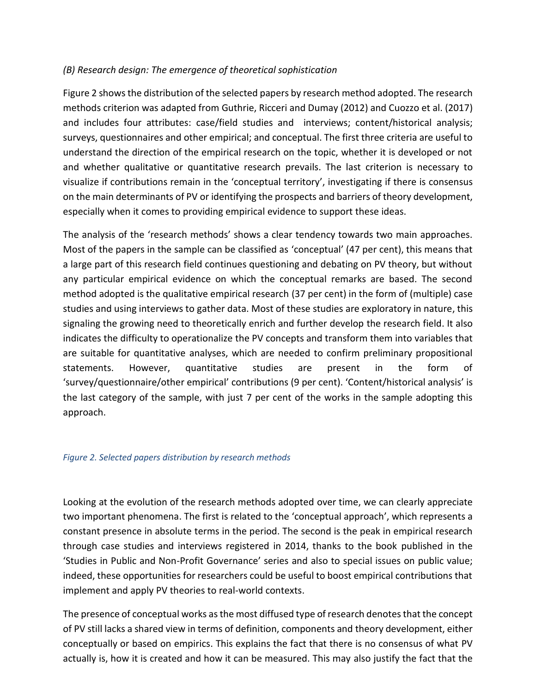### *(B) Research design: The emergence of theoretical sophistication*

Figure 2 shows the distribution of the selected papers by research method adopted. The research methods criterion was adapted from Guthrie, Ricceri and Dumay (2012) and Cuozzo et al. (2017) and includes four attributes: case/field studies and interviews; content/historical analysis; surveys, questionnaires and other empirical; and conceptual. The first three criteria are useful to understand the direction of the empirical research on the topic, whether it is developed or not and whether qualitative or quantitative research prevails. The last criterion is necessary to visualize if contributions remain in the 'conceptual territory', investigating if there is consensus on the main determinants of PV or identifying the prospects and barriers of theory development, especially when it comes to providing empirical evidence to support these ideas.

The analysis of the 'research methods' shows a clear tendency towards two main approaches. Most of the papers in the sample can be classified as 'conceptual' (47 per cent), this means that a large part of this research field continues questioning and debating on PV theory, but without any particular empirical evidence on which the conceptual remarks are based. The second method adopted is the qualitative empirical research (37 per cent) in the form of (multiple) case studies and using interviews to gather data. Most of these studies are exploratory in nature, this signaling the growing need to theoretically enrich and further develop the research field. It also indicates the difficulty to operationalize the PV concepts and transform them into variables that are suitable for quantitative analyses, which are needed to confirm preliminary propositional statements. However, quantitative studies are present in the form of 'survey/questionnaire/other empirical' contributions (9 per cent). 'Content/historical analysis' is the last category of the sample, with just 7 per cent of the works in the sample adopting this approach.

#### *Figure 2. Selected papers distribution by research methods*

Looking at the evolution of the research methods adopted over time, we can clearly appreciate two important phenomena. The first is related to the 'conceptual approach', which represents a constant presence in absolute terms in the period. The second is the peak in empirical research through case studies and interviews registered in 2014, thanks to the book published in the 'Studies in Public and Non-Profit Governance' series and also to special issues on public value; indeed, these opportunities for researchers could be useful to boost empirical contributions that implement and apply PV theories to real-world contexts.

The presence of conceptual works as the most diffused type of research denotes that the concept of PV still lacks a shared view in terms of definition, components and theory development, either conceptually or based on empirics. This explains the fact that there is no consensus of what PV actually is, how it is created and how it can be measured. This may also justify the fact that the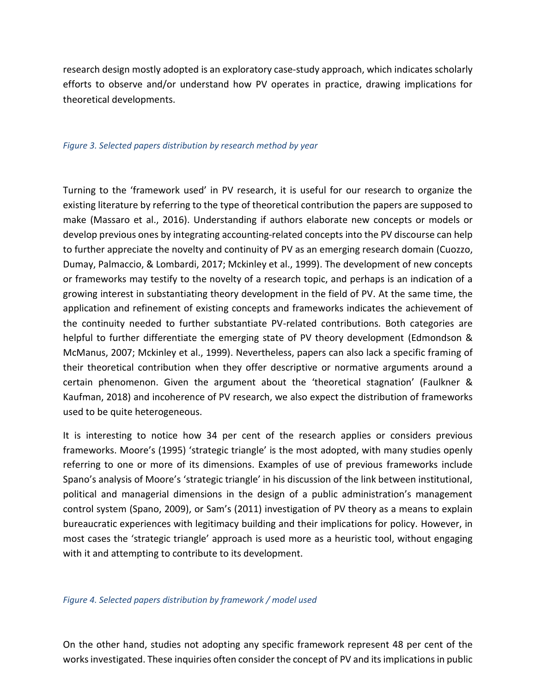research design mostly adopted is an exploratory case-study approach, which indicates scholarly efforts to observe and/or understand how PV operates in practice, drawing implications for theoretical developments.

#### *Figure 3. Selected papers distribution by research method by year*

Turning to the 'framework used' in PV research, it is useful for our research to organize the existing literature by referring to the type of theoretical contribution the papers are supposed to make (Massaro et al., 2016). Understanding if authors elaborate new concepts or models or develop previous ones by integrating accounting-related concepts into the PV discourse can help to further appreciate the novelty and continuity of PV as an emerging research domain (Cuozzo, Dumay, Palmaccio, & Lombardi, 2017; Mckinley et al., 1999). The development of new concepts or frameworks may testify to the novelty of a research topic, and perhaps is an indication of a growing interest in substantiating theory development in the field of PV. At the same time, the application and refinement of existing concepts and frameworks indicates the achievement of the continuity needed to further substantiate PV-related contributions. Both categories are helpful to further differentiate the emerging state of PV theory development (Edmondson & McManus, 2007; Mckinley et al., 1999). Nevertheless, papers can also lack a specific framing of their theoretical contribution when they offer descriptive or normative arguments around a certain phenomenon. Given the argument about the 'theoretical stagnation' (Faulkner & Kaufman, 2018) and incoherence of PV research, we also expect the distribution of frameworks used to be quite heterogeneous.

It is interesting to notice how 34 per cent of the research applies or considers previous frameworks. Moore's (1995) 'strategic triangle' is the most adopted, with many studies openly referring to one or more of its dimensions. Examples of use of previous frameworks include Spano's analysis of Moore's 'strategic triangle' in his discussion of the link between institutional, political and managerial dimensions in the design of a public administration's management control system (Spano, 2009), or Sam's (2011) investigation of PV theory as a means to explain bureaucratic experiences with legitimacy building and their implications for policy. However, in most cases the 'strategic triangle' approach is used more as a heuristic tool, without engaging with it and attempting to contribute to its development.

#### *Figure 4. Selected papers distribution by framework / model used*

On the other hand, studies not adopting any specific framework represent 48 per cent of the works investigated. These inquiries often consider the concept of PV and its implications in public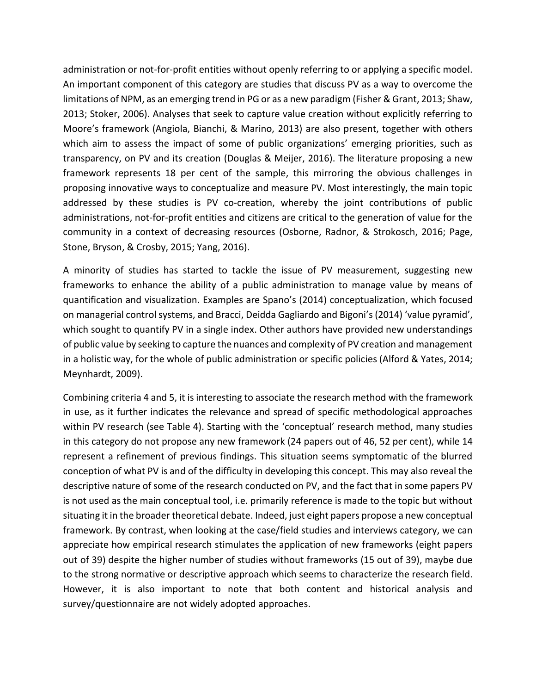administration or not-for-profit entities without openly referring to or applying a specific model. An important component of this category are studies that discuss PV as a way to overcome the limitations of NPM, as an emerging trend in PG or as a new paradigm (Fisher & Grant, 2013; Shaw, 2013; Stoker, 2006). Analyses that seek to capture value creation without explicitly referring to Moore's framework (Angiola, Bianchi, & Marino, 2013) are also present, together with others which aim to assess the impact of some of public organizations' emerging priorities, such as transparency, on PV and its creation (Douglas & Meijer, 2016). The literature proposing a new framework represents 18 per cent of the sample, this mirroring the obvious challenges in proposing innovative ways to conceptualize and measure PV. Most interestingly, the main topic addressed by these studies is PV co-creation, whereby the joint contributions of public administrations, not-for-profit entities and citizens are critical to the generation of value for the community in a context of decreasing resources (Osborne, Radnor, & Strokosch, 2016; Page, Stone, Bryson, & Crosby, 2015; Yang, 2016).

A minority of studies has started to tackle the issue of PV measurement, suggesting new frameworks to enhance the ability of a public administration to manage value by means of quantification and visualization. Examples are Spano's (2014) conceptualization, which focused on managerial control systems, and Bracci, Deidda Gagliardo and Bigoni's (2014) 'value pyramid', which sought to quantify PV in a single index. Other authors have provided new understandings of public value by seeking to capture the nuances and complexity of PV creation and management in a holistic way, for the whole of public administration or specific policies (Alford & Yates, 2014; Meynhardt, 2009).

Combining criteria 4 and 5, it is interesting to associate the research method with the framework in use, as it further indicates the relevance and spread of specific methodological approaches within PV research (see Table 4). Starting with the 'conceptual' research method, many studies in this category do not propose any new framework (24 papers out of 46, 52 per cent), while 14 represent a refinement of previous findings. This situation seems symptomatic of the blurred conception of what PV is and of the difficulty in developing this concept. This may also reveal the descriptive nature of some of the research conducted on PV, and the fact that in some papers PV is not used as the main conceptual tool, i.e. primarily reference is made to the topic but without situating it in the broader theoretical debate. Indeed, just eight papers propose a new conceptual framework. By contrast, when looking at the case/field studies and interviews category, we can appreciate how empirical research stimulates the application of new frameworks (eight papers out of 39) despite the higher number of studies without frameworks (15 out of 39), maybe due to the strong normative or descriptive approach which seems to characterize the research field. However, it is also important to note that both content and historical analysis and survey/questionnaire are not widely adopted approaches.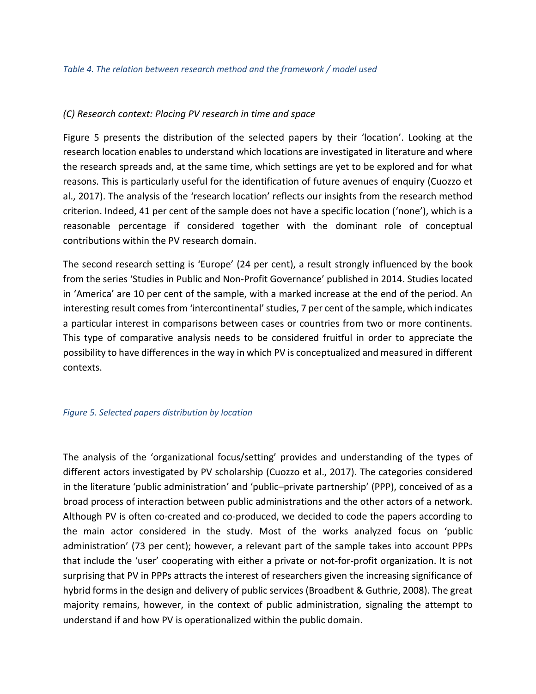#### *(C) Research context: Placing PV research in time and space*

Figure 5 presents the distribution of the selected papers by their 'location'. Looking at the research location enables to understand which locations are investigated in literature and where the research spreads and, at the same time, which settings are yet to be explored and for what reasons. This is particularly useful for the identification of future avenues of enquiry (Cuozzo et al., 2017). The analysis of the 'research location' reflects our insights from the research method criterion. Indeed, 41 per cent of the sample does not have a specific location ('none'), which is a reasonable percentage if considered together with the dominant role of conceptual contributions within the PV research domain.

The second research setting is 'Europe' (24 per cent), a result strongly influenced by the book from the series 'Studies in Public and Non-Profit Governance' published in 2014. Studies located in 'America' are 10 per cent of the sample, with a marked increase at the end of the period. An interesting result comes from 'intercontinental' studies, 7 per cent of the sample, which indicates a particular interest in comparisons between cases or countries from two or more continents. This type of comparative analysis needs to be considered fruitful in order to appreciate the possibility to have differences in the way in which PV is conceptualized and measured in different contexts.

#### *Figure 5. Selected papers distribution by location*

The analysis of the 'organizational focus/setting' provides and understanding of the types of different actors investigated by PV scholarship (Cuozzo et al., 2017). The categories considered in the literature 'public administration' and 'public-private partnership' (PPP), conceived of as a broad process of interaction between public administrations and the other actors of a network. Although PV is often co-created and co-produced, we decided to code the papers according to the main actor considered in the study. Most of the works analyzed focus on 'public administration' (73 per cent); however, a relevant part of the sample takes into account PPPs that include the 'user' cooperating with either a private or not-for-profit organization. It is not surprising that PV in PPPs attracts the interest of researchers given the increasing significance of hybrid forms in the design and delivery of public services (Broadbent & Guthrie, 2008). The great majority remains, however, in the context of public administration, signaling the attempt to understand if and how PV is operationalized within the public domain.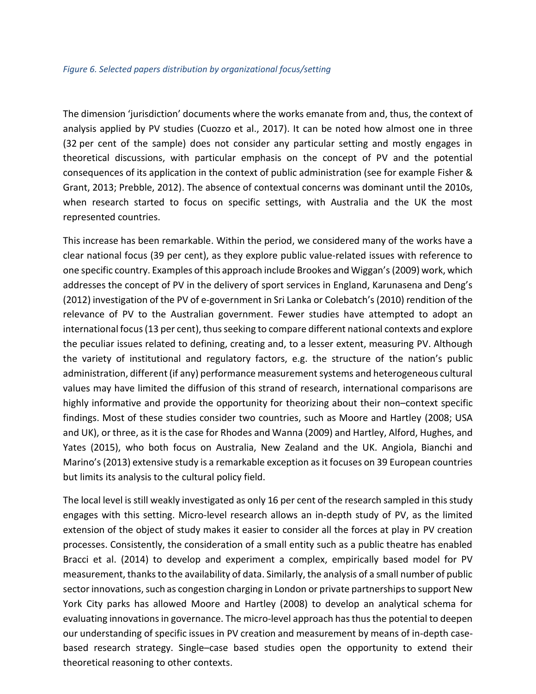The dimension 'jurisdiction' documents where the works emanate from and, thus, the context of analysis applied by PV studies (Cuozzo et al., 2017). It can be noted how almost one in three (32 per cent of the sample) does not consider any particular setting and mostly engages in theoretical discussions, with particular emphasis on the concept of PV and the potential consequences of its application in the context of public administration (see for example Fisher & Grant, 2013; Prebble, 2012). The absence of contextual concerns was dominant until the 2010s, when research started to focus on specific settings, with Australia and the UK the most represented countries.

This increase has been remarkable. Within the period, we considered many of the works have a clear national focus (39 per cent), as they explore public value-related issues with reference to one specific country. Examples of this approach include Brookes and Wiggan's (2009) work, which addresses the concept of PV in the delivery of sport services in England, Karunasena and Deng's (2012) investigation of the PV of e-government in Sri Lanka or Colebatch's (2010) rendition of the relevance of PV to the Australian government. Fewer studies have attempted to adopt an international focus (13 per cent), thus seeking to compare different national contexts and explore the peculiar issues related to defining, creating and, to a lesser extent, measuring PV. Although the variety of institutional and regulatory factors, e.g. the structure of the nation's public administration, different (if any) performance measurement systems and heterogeneous cultural values may have limited the diffusion of this strand of research, international comparisons are highly informative and provide the opportunity for theorizing about their non–context specific findings. Most of these studies consider two countries, such as Moore and Hartley (2008; USA and UK), or three, as it is the case for Rhodes and Wanna (2009) and Hartley, Alford, Hughes, and Yates (2015), who both focus on Australia, New Zealand and the UK. Angiola, Bianchi and Marino's (2013) extensive study is a remarkable exception as it focuses on 39 European countries but limits its analysis to the cultural policy field.

The local level is still weakly investigated as only 16 per cent of the research sampled in this study engages with this setting. Micro-level research allows an in-depth study of PV, as the limited extension of the object of study makes it easier to consider all the forces at play in PV creation processes. Consistently, the consideration of a small entity such as a public theatre has enabled Bracci et al. (2014) to develop and experiment a complex, empirically based model for PV measurement, thanks to the availability of data. Similarly, the analysis of a small number of public sector innovations, such as congestion charging in London or private partnerships to support New York City parks has allowed Moore and Hartley (2008) to develop an analytical schema for evaluating innovations in governance. The micro-level approach has thus the potential to deepen our understanding of specific issues in PV creation and measurement by means of in-depth casebased research strategy. Single–case based studies open the opportunity to extend their theoretical reasoning to other contexts.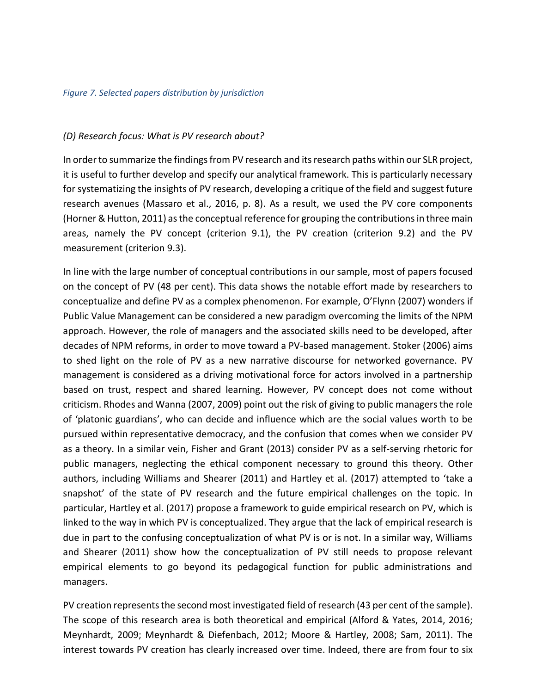#### *(D) Research focus: What is PV research about?*

In order to summarize the findings from PV research and its research paths within our SLR project, it is useful to further develop and specify our analytical framework. This is particularly necessary for systematizing the insights of PV research, developing a critique of the field and suggest future research avenues (Massaro et al., 2016, p. 8). As a result, we used the PV core components (Horner & Hutton, 2011) as the conceptual reference for grouping the contributions in three main areas, namely the PV concept (criterion 9.1), the PV creation (criterion 9.2) and the PV measurement (criterion 9.3).

In line with the large number of conceptual contributions in our sample, most of papers focused on the concept of PV (48 per cent). This data shows the notable effort made by researchers to conceptualize and define PV as a complex phenomenon. For example, O'Flynn (2007) wonders if Public Value Management can be considered a new paradigm overcoming the limits of the NPM approach. However, the role of managers and the associated skills need to be developed, after decades of NPM reforms, in order to move toward a PV-based management. Stoker (2006) aims to shed light on the role of PV as a new narrative discourse for networked governance. PV management is considered as a driving motivational force for actors involved in a partnership based on trust, respect and shared learning. However, PV concept does not come without criticism. Rhodes and Wanna (2007, 2009) point out the risk of giving to public managers the role of 'platonic guardians', who can decide and influence which are the social values worth to be pursued within representative democracy, and the confusion that comes when we consider PV as a theory. In a similar vein, Fisher and Grant (2013) consider PV as a self-serving rhetoric for public managers, neglecting the ethical component necessary to ground this theory. Other authors, including Williams and Shearer (2011) and Hartley et al. (2017) attempted to 'take a snapshot' of the state of PV research and the future empirical challenges on the topic. In particular, Hartley et al. (2017) propose a framework to guide empirical research on PV, which is linked to the way in which PV is conceptualized. They argue that the lack of empirical research is due in part to the confusing conceptualization of what PV is or is not. In a similar way, Williams and Shearer (2011) show how the conceptualization of PV still needs to propose relevant empirical elements to go beyond its pedagogical function for public administrations and managers.

PV creation represents the second most investigated field of research (43 per cent of the sample). The scope of this research area is both theoretical and empirical (Alford & Yates, 2014, 2016; Meynhardt, 2009; Meynhardt & Diefenbach, 2012; Moore & Hartley, 2008; Sam, 2011). The interest towards PV creation has clearly increased over time. Indeed, there are from four to six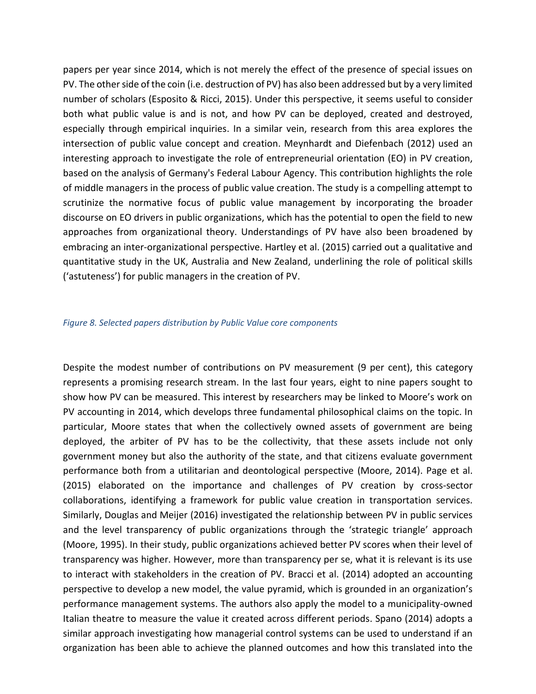papers per year since 2014, which is not merely the effect of the presence of special issues on PV. The other side of the coin (i.e. destruction of PV) has also been addressed but by a very limited number of scholars (Esposito & Ricci, 2015). Under this perspective, it seems useful to consider both what public value is and is not, and how PV can be deployed, created and destroyed, especially through empirical inquiries. In a similar vein, research from this area explores the intersection of public value concept and creation. Meynhardt and Diefenbach (2012) used an interesting approach to investigate the role of entrepreneurial orientation (EO) in PV creation, based on the analysis of Germany's Federal Labour Agency. This contribution highlights the role of middle managers in the process of public value creation. The study is a compelling attempt to scrutinize the normative focus of public value management by incorporating the broader discourse on EO drivers in public organizations, which has the potential to open the field to new approaches from organizational theory. Understandings of PV have also been broadened by embracing an inter-organizational perspective. Hartley et al. (2015) carried out a qualitative and quantitative study in the UK, Australia and New Zealand, underlining the role of political skills ('astuteness') for public managers in the creation of PV.

#### *Figure 8. Selected papers distribution by Public Value core components*

Despite the modest number of contributions on PV measurement (9 per cent), this category represents a promising research stream. In the last four years, eight to nine papers sought to show how PV can be measured. This interest by researchers may be linked to Moore's work on PV accounting in 2014, which develops three fundamental philosophical claims on the topic. In particular, Moore states that when the collectively owned assets of government are being deployed, the arbiter of PV has to be the collectivity, that these assets include not only government money but also the authority of the state, and that citizens evaluate government performance both from a utilitarian and deontological perspective (Moore, 2014). Page et al. (2015) elaborated on the importance and challenges of PV creation by cross-sector collaborations, identifying a framework for public value creation in transportation services. Similarly, Douglas and Meijer (2016) investigated the relationship between PV in public services and the level transparency of public organizations through the 'strategic triangle' approach (Moore, 1995). In their study, public organizations achieved better PV scores when their level of transparency was higher. However, more than transparency per se, what it is relevant is its use to interact with stakeholders in the creation of PV. Bracci et al. (2014) adopted an accounting perspective to develop a new model, the value pyramid, which is grounded in an organization's performance management systems. The authors also apply the model to a municipality-owned Italian theatre to measure the value it created across different periods. Spano (2014) adopts a similar approach investigating how managerial control systems can be used to understand if an organization has been able to achieve the planned outcomes and how this translated into the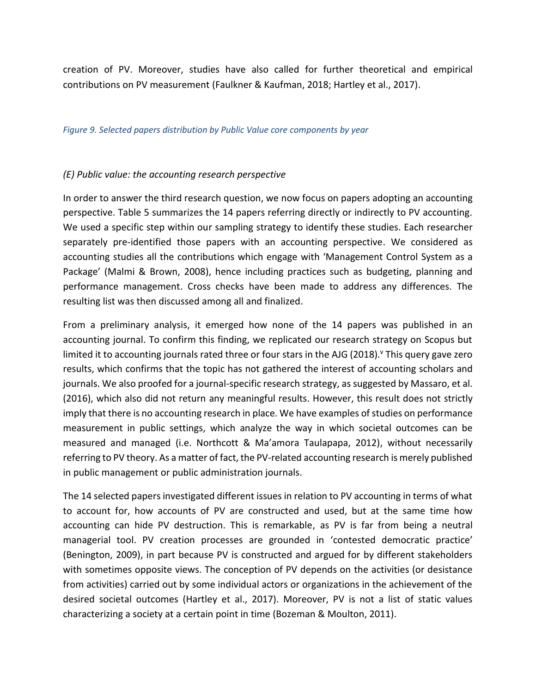creation of PV. Moreover, studies have also called for further theoretical and empirical contributions on PV measurement (Faulkner & Kaufman, 2018; Hartley et al., 2017).

#### *Figure 9. Selected papers distribution by Public Value core components by year*

#### *(E) Public value: the accounting research perspective*

In order to answer the third research question, we now focus on papers adopting an accounting perspective. Table 5 summarizes the 14 papers referring directly or indirectly to PV accounting. We used a specific step within our sampling strategy to identify these studies. Each researcher separately pre-identified those papers with an accounting perspective. We considered as accounting studies all the contributions which engage with 'Management Control System as a Package' (Malmi & Brown, 2008), hence including practices such as budgeting, planning and performance management. Cross checks have been made to address any differences. The resulting list was then discussed among all and finalized.

From a preliminary analysis, it emerged how none of the 14 papers was published in an accounting journal. To confirm this finding, we replicated our research strategy on Scopus but limited it to accounting journals rated three or four stars in the AJG (2018).<sup>v</sup> This query gave zero results, which confirms that the topic has not gathered the interest of accounting scholars and journals. We also proofed for a journal-specific research strategy, as suggested by Massaro, et al. (2016), which also did not return any meaningful results. However, this result does not strictly imply that there is no accounting research in place. We have examples of studies on performance measurement in public settings, which analyze the way in which societal outcomes can be measured and managed (i.e. Northcott & Ma'amora Taulapapa, 2012), without necessarily referring to PV theory. As a matter of fact, the PV-related accounting research is merely published in public management or public administration journals.

The 14 selected papers investigated different issues in relation to PV accounting in terms of what to account for, how accounts of PV are constructed and used, but at the same time how accounting can hide PV destruction. This is remarkable, as PV is far from being a neutral managerial tool. PV creation processes are grounded in 'contested democratic practice' (Benington, 2009), in part because PV is constructed and argued for by different stakeholders with sometimes opposite views. The conception of PV depends on the activities (or desistance from activities) carried out by some individual actors or organizations in the achievement of the desired societal outcomes (Hartley et al., 2017). Moreover, PV is not a list of static values characterizing a society at a certain point in time (Bozeman & Moulton, 2011).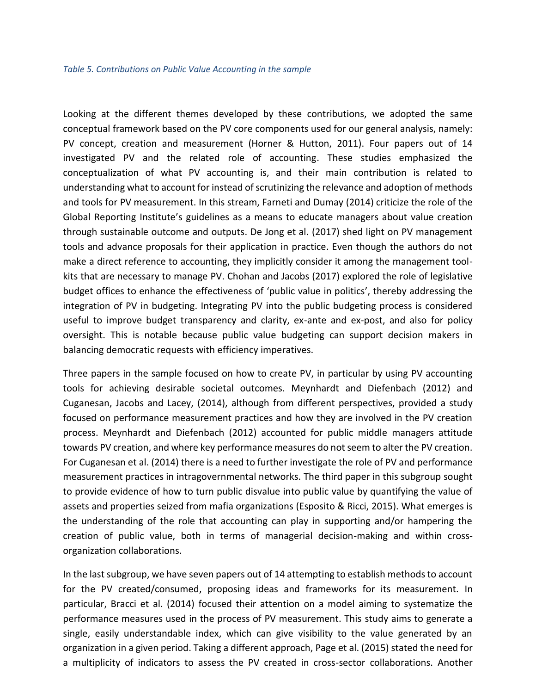Looking at the different themes developed by these contributions, we adopted the same conceptual framework based on the PV core components used for our general analysis, namely: PV concept, creation and measurement (Horner & Hutton, 2011). Four papers out of 14 investigated PV and the related role of accounting. These studies emphasized the conceptualization of what PV accounting is, and their main contribution is related to understanding what to account for instead of scrutinizing the relevance and adoption of methods and tools for PV measurement. In this stream, Farneti and Dumay (2014) criticize the role of the Global Reporting Institute's guidelines as a means to educate managers about value creation through sustainable outcome and outputs. De Jong et al. (2017) shed light on PV management tools and advance proposals for their application in practice. Even though the authors do not make a direct reference to accounting, they implicitly consider it among the management toolkits that are necessary to manage PV. Chohan and Jacobs (2017) explored the role of legislative budget offices to enhance the effectiveness of 'public value in politics', thereby addressing the integration of PV in budgeting. Integrating PV into the public budgeting process is considered useful to improve budget transparency and clarity, ex-ante and ex-post, and also for policy oversight. This is notable because public value budgeting can support decision makers in balancing democratic requests with efficiency imperatives.

Three papers in the sample focused on how to create PV, in particular by using PV accounting tools for achieving desirable societal outcomes. Meynhardt and Diefenbach (2012) and Cuganesan, Jacobs and Lacey, (2014), although from different perspectives, provided a study focused on performance measurement practices and how they are involved in the PV creation process. Meynhardt and Diefenbach (2012) accounted for public middle managers attitude towards PV creation, and where key performance measures do not seem to alter the PV creation. For Cuganesan et al. (2014) there is a need to further investigate the role of PV and performance measurement practices in intragovernmental networks. The third paper in this subgroup sought to provide evidence of how to turn public disvalue into public value by quantifying the value of assets and properties seized from mafia organizations (Esposito & Ricci, 2015). What emerges is the understanding of the role that accounting can play in supporting and/or hampering the creation of public value, both in terms of managerial decision-making and within crossorganization collaborations.

In the last subgroup, we have seven papers out of 14 attempting to establish methods to account for the PV created/consumed, proposing ideas and frameworks for its measurement. In particular, Bracci et al. (2014) focused their attention on a model aiming to systematize the performance measures used in the process of PV measurement. This study aims to generate a single, easily understandable index, which can give visibility to the value generated by an organization in a given period. Taking a different approach, Page et al. (2015) stated the need for a multiplicity of indicators to assess the PV created in cross-sector collaborations. Another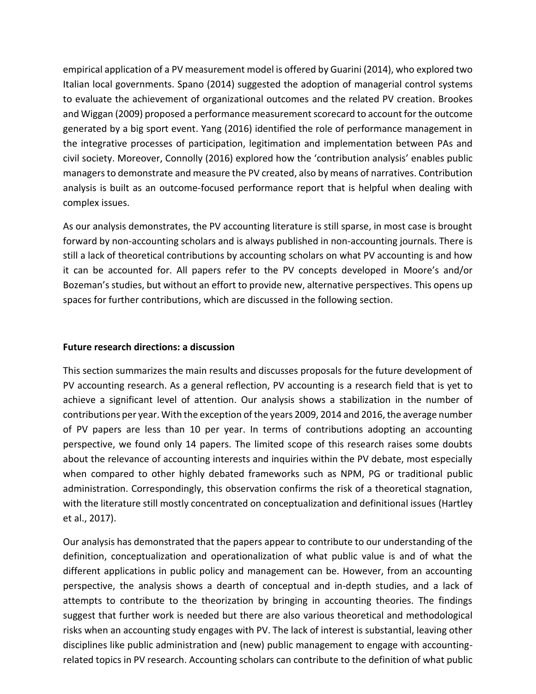empirical application of a PV measurement model is offered by Guarini (2014), who explored two Italian local governments. Spano (2014) suggested the adoption of managerial control systems to evaluate the achievement of organizational outcomes and the related PV creation. Brookes and Wiggan (2009) proposed a performance measurement scorecard to account for the outcome generated by a big sport event. Yang (2016) identified the role of performance management in the integrative processes of participation, legitimation and implementation between PAs and civil society. Moreover, Connolly (2016) explored how the 'contribution analysis' enables public managers to demonstrate and measure the PV created, also by means of narratives. Contribution analysis is built as an outcome-focused performance report that is helpful when dealing with complex issues.

As our analysis demonstrates, the PV accounting literature is still sparse, in most case is brought forward by non-accounting scholars and is always published in non-accounting journals. There is still a lack of theoretical contributions by accounting scholars on what PV accounting is and how it can be accounted for. All papers refer to the PV concepts developed in Moore's and/or Bozeman's studies, but without an effort to provide new, alternative perspectives. This opens up spaces for further contributions, which are discussed in the following section.

#### **Future research directions: a discussion**

This section summarizes the main results and discusses proposals for the future development of PV accounting research. As a general reflection, PV accounting is a research field that is yet to achieve a significant level of attention. Our analysis shows a stabilization in the number of contributions per year. With the exception of the years 2009, 2014 and 2016, the average number of PV papers are less than 10 per year. In terms of contributions adopting an accounting perspective, we found only 14 papers. The limited scope of this research raises some doubts about the relevance of accounting interests and inquiries within the PV debate, most especially when compared to other highly debated frameworks such as NPM, PG or traditional public administration. Correspondingly, this observation confirms the risk of a theoretical stagnation, with the literature still mostly concentrated on conceptualization and definitional issues (Hartley et al., 2017).

Our analysis has demonstrated that the papers appear to contribute to our understanding of the definition, conceptualization and operationalization of what public value is and of what the different applications in public policy and management can be. However, from an accounting perspective, the analysis shows a dearth of conceptual and in-depth studies, and a lack of attempts to contribute to the theorization by bringing in accounting theories. The findings suggest that further work is needed but there are also various theoretical and methodological risks when an accounting study engages with PV. The lack of interest is substantial, leaving other disciplines like public administration and (new) public management to engage with accountingrelated topics in PV research. Accounting scholars can contribute to the definition of what public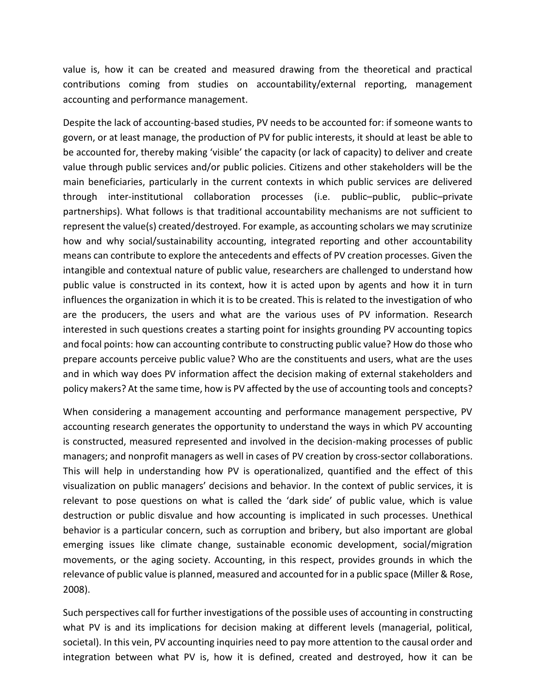value is, how it can be created and measured drawing from the theoretical and practical contributions coming from studies on accountability/external reporting, management accounting and performance management.

Despite the lack of accounting-based studies, PV needs to be accounted for: if someone wants to govern, or at least manage, the production of PV for public interests, it should at least be able to be accounted for, thereby making 'visible' the capacity (or lack of capacity) to deliver and create value through public services and/or public policies. Citizens and other stakeholders will be the main beneficiaries, particularly in the current contexts in which public services are delivered through inter-institutional collaboration processes (i.e. public-public, public-private partnerships). What follows is that traditional accountability mechanisms are not sufficient to represent the value(s) created/destroyed. For example, as accounting scholars we may scrutinize how and why social/sustainability accounting, integrated reporting and other accountability means can contribute to explore the antecedents and effects of PV creation processes. Given the intangible and contextual nature of public value, researchers are challenged to understand how public value is constructed in its context, how it is acted upon by agents and how it in turn influences the organization in which it is to be created. This is related to the investigation of who are the producers, the users and what are the various uses of PV information. Research interested in such questions creates a starting point for insights grounding PV accounting topics and focal points: how can accounting contribute to constructing public value? How do those who prepare accounts perceive public value? Who are the constituents and users, what are the uses and in which way does PV information affect the decision making of external stakeholders and policy makers? At the same time, how is PV affected by the use of accounting tools and concepts?

When considering a management accounting and performance management perspective, PV accounting research generates the opportunity to understand the ways in which PV accounting is constructed, measured represented and involved in the decision-making processes of public managers; and nonprofit managers as well in cases of PV creation by cross-sector collaborations. This will help in understanding how PV is operationalized, quantified and the effect of this visualization on public managers' decisions and behavior. In the context of public services, it is relevant to pose questions on what is called the 'dark side' of public value, which is value destruction or public disvalue and how accounting is implicated in such processes. Unethical behavior is a particular concern, such as corruption and bribery, but also important are global emerging issues like climate change, sustainable economic development, social/migration movements, or the aging society. Accounting, in this respect, provides grounds in which the relevance of public value is planned, measured and accounted for in a public space (Miller & Rose, 2008).

Such perspectives call for further investigations of the possible uses of accounting in constructing what PV is and its implications for decision making at different levels (managerial, political, societal). In this vein, PV accounting inquiries need to pay more attention to the causal order and integration between what PV is, how it is defined, created and destroyed, how it can be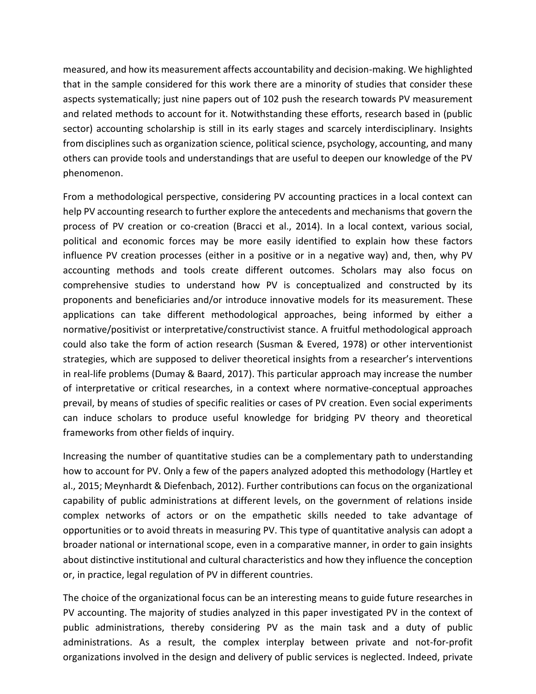measured, and how its measurement affects accountability and decision-making. We highlighted that in the sample considered for this work there are a minority of studies that consider these aspects systematically; just nine papers out of 102 push the research towards PV measurement and related methods to account for it. Notwithstanding these efforts, research based in (public sector) accounting scholarship is still in its early stages and scarcely interdisciplinary. Insights from disciplines such as organization science, political science, psychology, accounting, and many others can provide tools and understandings that are useful to deepen our knowledge of the PV phenomenon.

From a methodological perspective, considering PV accounting practices in a local context can help PV accounting research to further explore the antecedents and mechanisms that govern the process of PV creation or co-creation (Bracci et al., 2014). In a local context, various social, political and economic forces may be more easily identified to explain how these factors influence PV creation processes (either in a positive or in a negative way) and, then, why PV accounting methods and tools create different outcomes. Scholars may also focus on comprehensive studies to understand how PV is conceptualized and constructed by its proponents and beneficiaries and/or introduce innovative models for its measurement. These applications can take different methodological approaches, being informed by either a normative/positivist or interpretative/constructivist stance. A fruitful methodological approach could also take the form of action research (Susman & Evered, 1978) or other interventionist strategies, which are supposed to deliver theoretical insights from a researcher's interventions in real-life problems (Dumay & Baard, 2017). This particular approach may increase the number of interpretative or critical researches, in a context where normative-conceptual approaches prevail, by means of studies of specific realities or cases of PV creation. Even social experiments can induce scholars to produce useful knowledge for bridging PV theory and theoretical frameworks from other fields of inquiry.

Increasing the number of quantitative studies can be a complementary path to understanding how to account for PV. Only a few of the papers analyzed adopted this methodology (Hartley et al., 2015; Meynhardt & Diefenbach, 2012). Further contributions can focus on the organizational capability of public administrations at different levels, on the government of relations inside complex networks of actors or on the empathetic skills needed to take advantage of opportunities or to avoid threats in measuring PV. This type of quantitative analysis can adopt a broader national or international scope, even in a comparative manner, in order to gain insights about distinctive institutional and cultural characteristics and how they influence the conception or, in practice, legal regulation of PV in different countries.

The choice of the organizational focus can be an interesting means to guide future researches in PV accounting. The majority of studies analyzed in this paper investigated PV in the context of public administrations, thereby considering PV as the main task and a duty of public administrations. As a result, the complex interplay between private and not-for-profit organizations involved in the design and delivery of public services is neglected. Indeed, private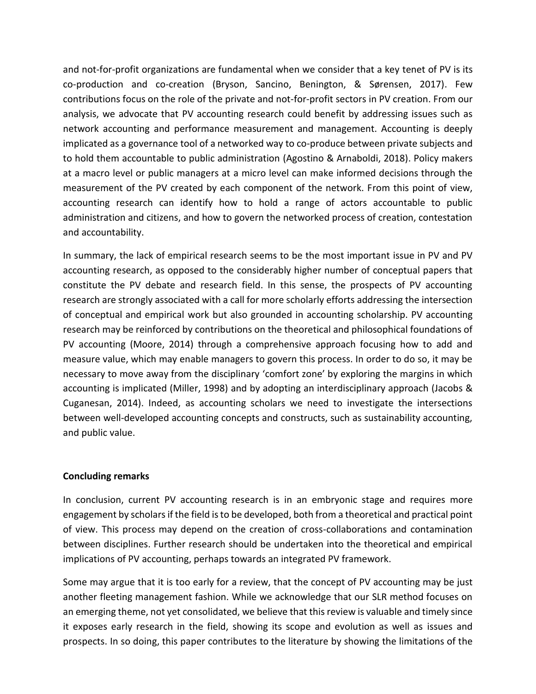and not-for-profit organizations are fundamental when we consider that a key tenet of PV is its co-production and co-creation (Bryson, Sancino, Benington, & Sørensen, 2017). Few contributions focus on the role of the private and not-for-profit sectors in PV creation. From our analysis, we advocate that PV accounting research could benefit by addressing issues such as network accounting and performance measurement and management. Accounting is deeply implicated as a governance tool of a networked way to co-produce between private subjects and to hold them accountable to public administration (Agostino & Arnaboldi, 2018). Policy makers at a macro level or public managers at a micro level can make informed decisions through the measurement of the PV created by each component of the network. From this point of view, accounting research can identify how to hold a range of actors accountable to public administration and citizens, and how to govern the networked process of creation, contestation and accountability.

In summary, the lack of empirical research seems to be the most important issue in PV and PV accounting research, as opposed to the considerably higher number of conceptual papers that constitute the PV debate and research field. In this sense, the prospects of PV accounting research are strongly associated with a call for more scholarly efforts addressing the intersection of conceptual and empirical work but also grounded in accounting scholarship. PV accounting research may be reinforced by contributions on the theoretical and philosophical foundations of PV accounting (Moore, 2014) through a comprehensive approach focusing how to add and measure value, which may enable managers to govern this process. In order to do so, it may be necessary to move away from the disciplinary 'comfort zone' by exploring the margins in which accounting is implicated (Miller, 1998) and by adopting an interdisciplinary approach (Jacobs & Cuganesan, 2014). Indeed, as accounting scholars we need to investigate the intersections between well-developed accounting concepts and constructs, such as sustainability accounting, and public value.

#### **Concluding remarks**

In conclusion, current PV accounting research is in an embryonic stage and requires more engagement by scholars if the field is to be developed, both from a theoretical and practical point of view. This process may depend on the creation of cross-collaborations and contamination between disciplines. Further research should be undertaken into the theoretical and empirical implications of PV accounting, perhaps towards an integrated PV framework.

Some may argue that it is too early for a review, that the concept of PV accounting may be just another fleeting management fashion. While we acknowledge that our SLR method focuses on an emerging theme, not yet consolidated, we believe that this review is valuable and timely since it exposes early research in the field, showing its scope and evolution as well as issues and prospects. In so doing, this paper contributes to the literature by showing the limitations of the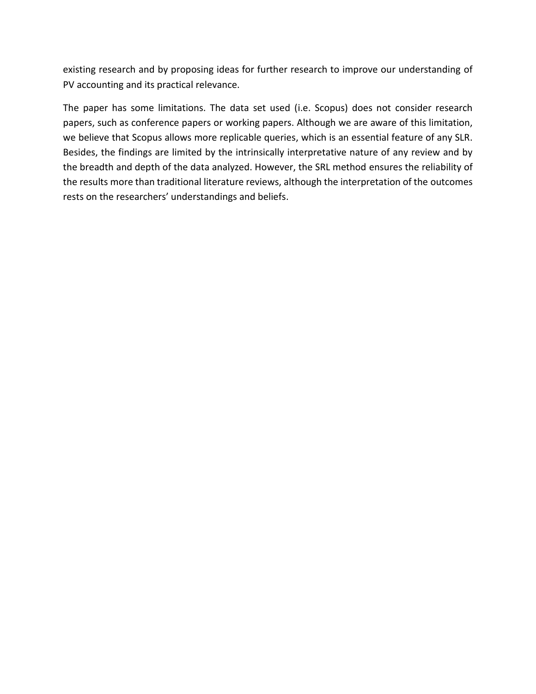existing research and by proposing ideas for further research to improve our understanding of PV accounting and its practical relevance.

The paper has some limitations. The data set used (i.e. Scopus) does not consider research papers, such as conference papers or working papers. Although we are aware of this limitation, we believe that Scopus allows more replicable queries, which is an essential feature of any SLR. Besides, the findings are limited by the intrinsically interpretative nature of any review and by the breadth and depth of the data analyzed. However, the SRL method ensures the reliability of the results more than traditional literature reviews, although the interpretation of the outcomes rests on the researchers' understandings and beliefs.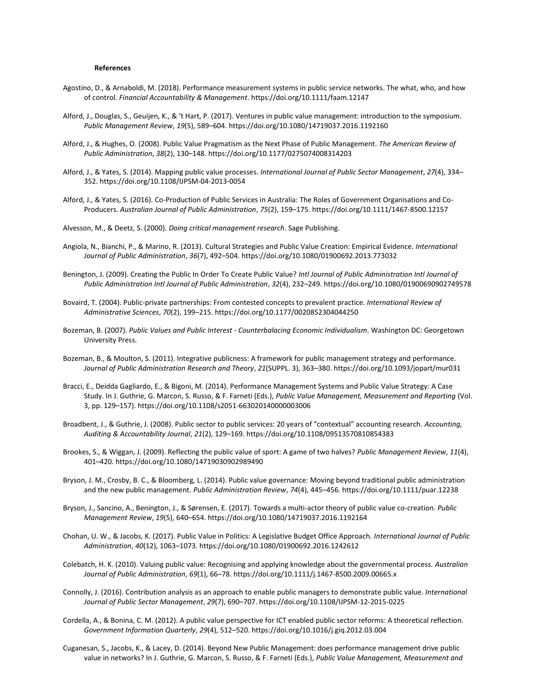#### **References**

- Agostino, D., & Arnaboldi, M. (2018). Performance measurement systems in public service networks. The what, who, and how of control. *Financial Accountability & Management*. https://doi.org/10.1111/faam.12147
- Alford, J., Douglas, S., Geuijen, K., & 't Hart, P. (2017). Ventures in public value management: introduction to the symposium. Public Management Review, 19(5), 589-604. https://doi.org/10.1080/14719037.2016.1192160
- Alford, J., & Hughes, O. (2008). Public Value Pragmatism as the Next Phase of Public Management. *The American Review of Public Administration*, *38*(2), 130に148. https://doi.org/10.1177/0275074008314203
- Alford, J., & Yates, S. (2014). Mapping public value processes. *International Journal of Public Sector Management*, *27*(4), 334に 352. https://doi.org/10.1108/IJPSM-04-2013-0054
- Alford, J., & Yates, S. (2016). Co-Production of Public Services in Australia: The Roles of Government Organisations and Co-Producers. Australian Journal of Public Administration, 75(2), 159-175. https://doi.org/10.1111/1467-8500.12157
- Alvesson, M., & Deetz, S. (2000). *Doing critical management research*. Sage Publishing.
- Angiola, N., Bianchi, P., & Marino, R. (2013). Cultural Strategies and Public Value Creation: Empirical Evidence. *International*  Journal of Public Administration, 36(7), 492-504. https://doi.org/10.1080/01900692.2013.773032
- Benington, J. (2009). Creating the Public In Order To Create Public Value? *Intl Journal of Public Administration Intl Journal of*  Public Administration Intl Journal of Public Administration, 32(4), 232-249. https://doi.org/10.1080/01900690902749578
- Bovaird, T. (2004). Public-private partnerships: From contested concepts to prevalent practice. *International Review of Administrative Sciences*, *70*(2), 199に215. https://doi.org/10.1177/0020852304044250
- Bozeman, B. (2007). *Public Values and Public Interest Counterbalacing Economic Individualism*. Washington DC: Georgetown University Press.
- Bozeman, B., & Moulton, S. (2011). Integrative publicness: A framework for public management strategy and performance. Journal of Public Administration Research and Theory, 21(SUPPL. 3), 363-380. https://doi.org/10.1093/jopart/mur031
- Bracci, E., Deidda Gagliardo, E., & Bigoni, M. (2014). Performance Management Systems and Public Value Strategy: A Case Study. In J. Guthrie, G. Marcon, S. Russo, & F. Farneti (Eds.), *Public Value Management, Measurement and Reporting* (Vol. 3, pp. 129-157). https://doi.org/10.1108/s2051-663020140000003006
- Broadbent, J., & Guthrie, J. (2008). Public sector to public services: 20 years of "contextual" accounting research. Accounting, Auditing & Accountability Journal, 21(2), 129-169. https://doi.org/10.1108/09513570810854383
- Brookes, S., & Wiggan, J. (2009). Reflecting the public value of sport: A game of two halves? *Public Management Review*, *11*(4), 401に420. https://doi.org/10.1080/14719030902989490
- Bryson, J. M., Crosby, B. C., & Bloomberg, L. (2014). Public value governance: Moving beyond traditional public administration and the new public management. *Public Administration Review, 74*(4), 445-456. https://doi.org/10.1111/puar.12238
- Bryson, J., Sancino, A., Benington, J., & Sørensen, E. (2017). Towards a multi-actor theory of public value co-creation. *Public Management Review, 19*(5), 640-654. https://doi.org/10.1080/14719037.2016.1192164
- Chohan, U. W., & Jacobs, K. (2017). Public Value in Politics: A Legislative Budget Office Approach. *International Journal of Public*  Administration, 40(12), 1063-1073. https://doi.org/10.1080/01900692.2016.1242612
- Colebatch, H. K. (2010). Valuing public value: Recognising and applying knowledge about the governmental process. *Australian Journal of Public Administration, 69*(1), 66-78. https://doi.org/10.1111/j.1467-8500.2009.00665.x
- Connolly, J. (2016). Contribution analysis as an approach to enable public managers to demonstrate public value. *International*  Journal of Public Sector Management, 29(7), 690-707. https://doi.org/10.1108/IJPSM-12-2015-0225
- Cordella, A., & Bonina, C. M. (2012). A public value perspective for ICT enabled public sector reforms: A theoretical reflection. *Government Information Quarterly, 29*(4), 512-520. https://doi.org/10.1016/j.giq.2012.03.004
- Cuganesan, S., Jacobs, K., & Lacey, D. (2014). Beyond New Public Management: does performance management drive public value in networks? In J. Guthrie, G. Marcon, S. Russo, & F. Farneti (Eds.), *Public Value Management, Measurement and*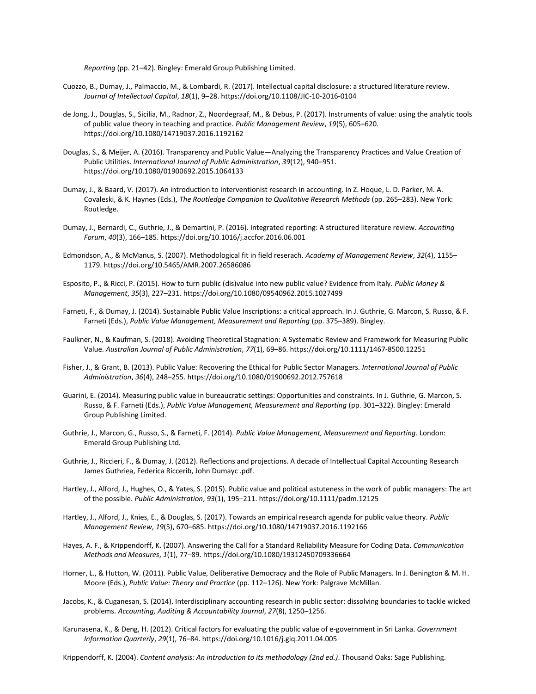*Reporting* (pp. 21-42). Bingley: Emerald Group Publishing Limited.

- Cuozzo, B., Dumay, J., Palmaccio, M., & Lombardi, R. (2017). Intellectual capital disclosure: a structured literature review. Journal of Intellectual Capital, 18(1), 9-28. https://doi.org/10.1108/JIC-10-2016-0104
- de Jong, J., Douglas, S., Sicilia, M., Radnor, Z., Noordegraaf, M., & Debus, P. (2017). Instruments of value: using the analytic tools of public value theory in teaching and practice. *Public Management Review*, 19(5), 605-620. https://doi.org/10.1080/14719037.2016.1192162
- Douglas, S., & Meijer, A. (2016). Transparency and Public Value—Analyzing the Transparency Practices and Value Creation of Public Utilities. *International Journal of Public Administration*, 39(12), 940-951. https://doi.org/10.1080/01900692.2015.1064133
- Dumay, J., & Baard, V. (2017). An introduction to interventionist research in accounting. In Z. Hoque, L. D. Parker, M. A. Covaleski, & K. Haynes (Eds.), *The Routledge Companion to Qualitative Research Methods* (pp. 265–283). New York: Routledge.
- Dumay, J., Bernardi, C., Guthrie, J., & Demartini, P. (2016). Integrated reporting: A structured literature review. *Accounting Forum, 40*(3), 166-185. https://doi.org/10.1016/j.accfor.2016.06.001
- Edmondson, A., & McManus, S. (2007). Methodological fit in field reserach. *Academy of Management Review*, *32*(4), 1155に 1179. https://doi.org/10.5465/AMR.2007.26586086
- Esposito, P., & Ricci, P. (2015). How to turn public (dis)value into new public value? Evidence from Italy. *Public Money & Management, 35(3), 227-231. https://doi.org/10.1080/09540962.2015.1027499*
- Farneti, F., & Dumay, J. (2014). Sustainable Public Value Inscriptions: a critical approach. In J. Guthrie, G. Marcon, S. Russo, & F. Farneti (Eds.), *Public Value Management, Measurement and Reporting* (pp. 375–389). Bingley.
- Faulkner, N., & Kaufman, S. (2018). Avoiding Theoretical Stagnation: A Systematic Review and Framework for Measuring Public Value. Australian Journal of Public Administration, 77(1), 69-86. https://doi.org/10.1111/1467-8500.12251
- Fisher, J., & Grant, B. (2013). Public Value: Recovering the Ethical for Public Sector Managers. *International Journal of Public Administration*, *36*(4), 248に255. https://doi.org/10.1080/01900692.2012.757618
- Guarini, E. (2014). Measuring public value in bureaucratic settings: Opportunities and constraints. In J. Guthrie, G. Marcon, S. Russo, & F. Farneti (Eds.), Public Value Management, Measurement and Reporting (pp. 301-322). Bingley: Emerald Group Publishing Limited.
- Guthrie, J., Marcon, G., Russo, S., & Farneti, F. (2014). *Public Value Management, Measurement and Reporting*. London: Emerald Group Publishing Ltd.
- Guthrie, J., Riccieri, F., & Dumay, J. (2012). Reflections and projections. A decade of Intellectual Capital Accounting Research James Guthriea, Federica Riccerib, John Dumayc .pdf.
- Hartley, J., Alford, J., Hughes, O., & Yates, S. (2015). Public value and political astuteness in the work of public managers: The art of the possible. *Public Administration*,  $93(1)$ , 195-211. https://doi.org/10.1111/padm.12125
- Hartley, J., Alford, J., Knies, E., & Douglas, S. (2017). Towards an empirical research agenda for public value theory. *Public Management Review, 19*(5), 670-685. https://doi.org/10.1080/14719037.2016.1192166
- Hayes, A. F., & Krippendorff, K. (2007). Answering the Call for a Standard Reliability Measure for Coding Data. *Communication Methods and Measures, 1*(1), 77-89. https://doi.org/10.1080/19312450709336664
- Horner, L., & Hutton, W. (2011). Public Value, Deliberative Democracy and the Role of Public Managers. In J. Benington & M. H. Moore (Eds.), *Public Value: Theory and Practice* (pp. 112-126). New York: Palgrave McMillan.
- Jacobs, K., & Cuganesan, S. (2014). Interdisciplinary accounting research in public sector: dissolving boundaries to tackle wicked problems. *Accounting, Auditing & Accountability Journal, 27*(8), 1250-1256.
- Karunasena, K., & Deng, H. (2012). Critical factors for evaluating the public value of e-government in Sri Lanka. *Government Information Quarterly, 29*(1), 76-84. https://doi.org/10.1016/j.giq.2011.04.005

Krippendorff, K. (2004). *Content analysis: An introduction to its methodology (2nd ed.)*. Thousand Oaks: Sage Publishing.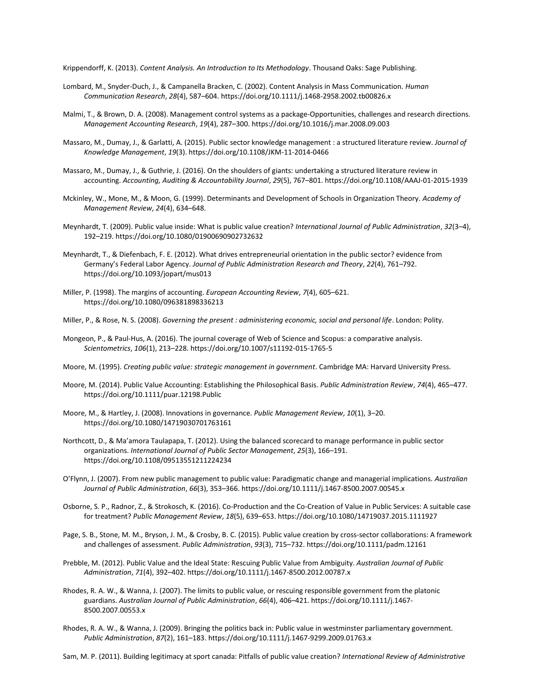Krippendorff, K. (2013). *Content Analysis. An Introduction to Its Methodology*. Thousand Oaks: Sage Publishing.

- Lombard, M., Snyder-Duch, J., & Campanella Bracken, C. (2002). Content Analysis in Mass Communication. *Human Communication Research, 28*(4), 587-604. https://doi.org/10.1111/j.1468-2958.2002.tb00826.x
- Malmi, T., & Brown, D. A. (2008). Management control systems as a package-Opportunities, challenges and research directions. *Management Accounting Research, 19*(4), 287-300. https://doi.org/10.1016/j.mar.2008.09.003
- Massaro, M., Dumay, J., & Garlatti, A. (2015). Public sector knowledge management : a structured literature review. *Journal of Knowledge Management*, *19*(3). https://doi.org/10.1108/JKM-11-2014-0466
- Massaro, M., Dumay, J., & Guthrie, J. (2016). On the shoulders of giants: undertaking a structured literature review in accounting. *Accounting, Auditing & Accountability Journal, 29(5), 767-801. https://doi.org/10.1108/AAAJ-01-2015-1939*
- Mckinley, W., Mone, M., & Moon, G. (1999). Determinants and Development of Schools in Organization Theory. *Academy of Management Review, 24(4), 634-648.*
- Meynhardt, T. (2009). Public value inside: What is public value creation? *International Journal of Public Administration*, 32(3-4), 192-219. https://doi.org/10.1080/01900690902732632
- Meynhardt, T., & Diefenbach, F. E. (2012). What drives entrepreneurial orientation in the public sector? evidence from Germany's Federal Labor Agency. Journal of Public Administration Research and Theory, 22(4), 761-792. https://doi.org/10.1093/jopart/mus013
- Miller, P. (1998). The margins of accounting. *European Accounting Review*, *7*(4), 605-621. https://doi.org/10.1080/096381898336213
- Miller, P., & Rose, N. S. (2008). *Governing the present : administering economic, social and personal life*. London: Polity.
- Mongeon, P., & Paul-Hus, A. (2016). The journal coverage of Web of Science and Scopus: a comparative analysis. *Scientometrics*, *106*(1), 213に228. https://doi.org/10.1007/s11192-015-1765-5
- Moore, M. (1995). *Creating public value: strategic management in government*. Cambridge MA: Harvard University Press.
- Moore, M. (2014). Public Value Accounting: Establishing the Philosophical Basis. Public Administration Review, 74(4), 465-477. https://doi.org/10.1111/puar.12198.Public
- Moore, M., & Hartley, J. (2008). Innovations in governance. Public Management Review, 10(1), 3-20. https://doi.org/10.1080/14719030701763161
- Northcott, D., & Ma'amora Taulapapa, T. (2012). Using the balanced scorecard to manage performance in public sector organizations. *International Journal of Public Sector Management*, 25(3), 166-191. https://doi.org/10.1108/09513551211224234
- O'Flynn, J. (2007). From new public management to public value: Paradigmatic change and managerial implications. Australian Journal of Public Administration, 66(3), 353-366. https://doi.org/10.1111/j.1467-8500.2007.00545.x
- Osborne, S. P., Radnor, Z., & Strokosch, K. (2016). Co-Production and the Co-Creation of Value in Public Services: A suitable case for treatment? Public Management Review, 18(5), 639-653. https://doi.org/10.1080/14719037.2015.1111927
- Page, S. B., Stone, M. M., Bryson, J. M., & Crosby, B. C. (2015). Public value creation by cross-sector collaborations: A framework and challenges of assessment. *Public Administration*,  $93(3)$ , 715-732. https://doi.org/10.1111/padm.12161
- Prebble, M. (2012). Public Value and the Ideal State: Rescuing Public Value from Ambiguity. *Australian Journal of Public Administration*, *71*(4), 392に402. https://doi.org/10.1111/j.1467-8500.2012.00787.x
- Rhodes, R. A. W., & Wanna, J. (2007). The limits to public value, or rescuing responsible government from the platonic guardians. Australian Journal of Public Administration, 66(4), 406-421. https://doi.org/10.1111/j.1467-8500.2007.00553.x
- Rhodes, R. A. W., & Wanna, J. (2009). Bringing the politics back in: Public value in westminster parliamentary government. *Public Administration, 87*(2), 161–183. https://doi.org/10.1111/j.1467-9299.2009.01763.x
- Sam, M. P. (2011). Building legitimacy at sport canada: Pitfalls of public value creation? *International Review of Administrative*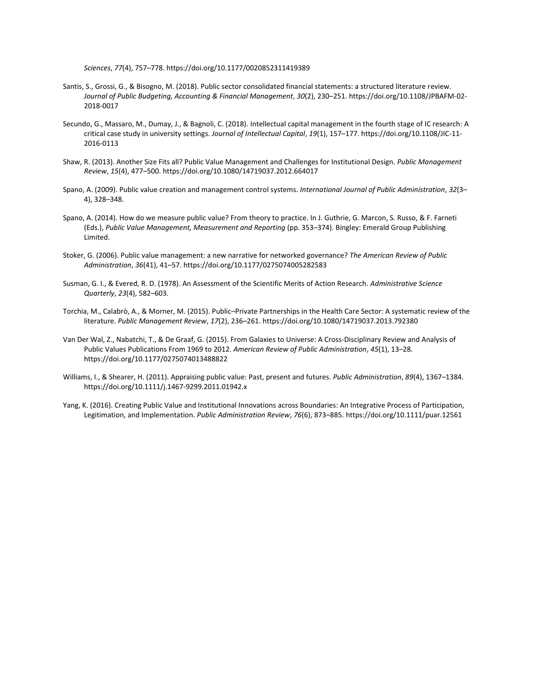*Sciences*, *77*(4), 757に778. https://doi.org/10.1177/0020852311419389

- Santis, S., Grossi, G., & Bisogno, M. (2018). Public sector consolidated financial statements: a structured literature review. Journal of Public Budgeting, Accounting & Financial Management, 30(2), 230-251. https://doi.org/10.1108/JPBAFM-02-2018-0017
- Secundo, G., Massaro, M., Dumay, J., & Bagnoli, C. (2018). Intellectual capital management in the fourth stage of IC research: A critical case study in university settings. *Journal of Intellectual Capital*, 19(1), 157-177. https://doi.org/10.1108/JIC-11-2016-0113
- Shaw, R. (2013). Another Size Fits all? Public Value Management and Challenges for Institutional Design. *Public Management Review, 15*(4), 477-500. https://doi.org/10.1080/14719037.2012.664017
- Spano, A. (2009). Public value creation and management control systems. *International Journal of Public Administration*, *32*(3に 4), 328-348.
- Spano, A. (2014). How do we measure public value? From theory to practice. In J. Guthrie, G. Marcon, S. Russo, & F. Farneti (Eds.), Public Value Management, Measurement and Reporting (pp. 353-374). Bingley: Emerald Group Publishing Limited.
- Stoker, G. (2006). Public value management: a new narrative for networked governance? *The American Review of Public Administration*, *36*(41), 41に57. https://doi.org/10.1177/0275074005282583
- Susman, G. I., & Evered, R. D. (1978). An Assessment of the Scientific Merits of Action Research. *Administrative Science Quarterly*, *23*(4), 582に603.
- Torchia, M., Calabrò, A., & Morner, M. (2015). Public-Private Partnerships in the Health Care Sector: A systematic review of the literature. Public Management Review, 17(2), 236-261. https://doi.org/10.1080/14719037.2013.792380
- Van Der Wal, Z., Nabatchi, T., & De Graaf, G. (2015). From Galaxies to Universe: A Cross-Disciplinary Review and Analysis of Public Values Publications From 1969 to 2012. American Review of Public Administration, 45(1), 13-28. https://doi.org/10.1177/0275074013488822
- Williams, I., & Shearer, H. (2011). Appraising public value: Past, present and futures. *Public Administration*, 89(4), 1367-1384. https://doi.org/10.1111/j.1467-9299.2011.01942.x
- Yang, K. (2016). Creating Public Value and Institutional Innovations across Boundaries: An Integrative Process of Participation, Legitimation, and Implementation. Public Administration Review, 76(6), 873-885. https://doi.org/10.1111/puar.12561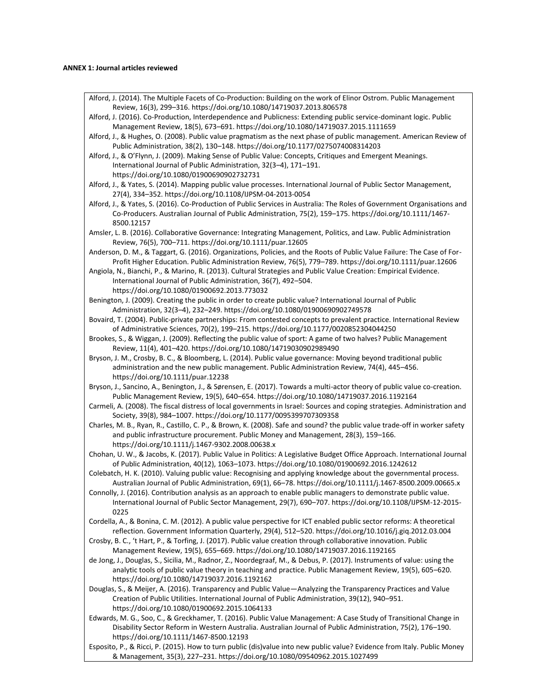#### **ANNEX 1: Journal articles reviewed**

- Alford, J. (2014). The Multiple Facets of Co-Production: Building on the work of Elinor Ostrom. Public Management Review, 16(3), 299-316. https://doi.org/10.1080/14719037.2013.806578
- Alford, J. (2016). Co-Production, Interdependence and Publicness: Extending public service-dominant logic. Public Management Review, 18(5), 673-691. https://doi.org/10.1080/14719037.2015.1111659
- Alford, J., & Hughes, O. (2008). Public value pragmatism as the next phase of public management. American Review of Public Administration, 38(2), 130-148. https://doi.org/10.1177/0275074008314203
- Alford, J., & O'Flynn, J. (2009). Making Sense of Public Value: Concepts, Critiques and Emergent Meanings. International Journal of Public Administration, 32(3-4), 171-191. https://doi.org/10.1080/01900690902732731
- Alford, J., & Yates, S. (2014). Mapping public value processes. International Journal of Public Sector Management, 27(4), 334-352. https://doi.org/10.1108/IJPSM-04-2013-0054
- Alford, J., & Yates, S. (2016). Co-Production of Public Services in Australia: The Roles of Government Organisations and Co-Producers. Australian Journal of Public Administration, 75(2), 159-175. https://doi.org/10.1111/1467-8500.12157
- Amsler, L. B. (2016). Collaborative Governance: Integrating Management, Politics, and Law. Public Administration Review, 76(5), 700-711. https://doi.org/10.1111/puar.12605
- Anderson, D. M., & Taggart, G. (2016). Organizations, Policies, and the Roots of Public Value Failure: The Case of For-Profit Higher Education. Public Administration Review, 76(5), 779-789. https://doi.org/10.1111/puar.12606

Angiola, N., Bianchi, P., & Marino, R. (2013). Cultural Strategies and Public Value Creation: Empirical Evidence. International Journal of Public Administration, 36(7), 492-504. https://doi.org/10.1080/01900692.2013.773032

- Benington, J. (2009). Creating the public in order to create public value? International Journal of Public Administration, 32(3-4), 232-249. https://doi.org/10.1080/01900690902749578
- Bovaird, T. (2004). Public-private partnerships: From contested concepts to prevalent practice. International Review of Administrative Sciences, 70(2), 199-215. https://doi.org/10.1177/0020852304044250
- Brookes, S., & Wiggan, J. (2009). Reflecting the public value of sport: A game of two halves? Public Management Review, 11(4), 401-420. https://doi.org/10.1080/14719030902989490
- Bryson, J. M., Crosby, B. C., & Bloomberg, L. (2014). Public value governance: Moving beyond traditional public administration and the new public management. Public Administration Review, 74(4), 445-456. https://doi.org/10.1111/puar.12238

Bryson, J., Sancino, A., Benington, J., & Sørensen, E. (2017). Towards a multi-actor theory of public value co-creation. Public Management Review, 19(5), 640-654. https://doi.org/10.1080/14719037.2016.1192164

Carmeli, A. (2008). The fiscal distress of local governments in Israel: Sources and coping strategies. Administration and Society, 39(8), 984-1007. https://doi.org/10.1177/0095399707309358

Charles, M. B., Ryan, R., Castillo, C. P., & Brown, K. (2008). Safe and sound? the public value trade-off in worker safety and public infrastructure procurement. Public Money and Management, 28(3), 159-166. https://doi.org/10.1111/j.1467-9302.2008.00638.x

Chohan, U. W., & Jacobs, K. (2017). Public Value in Politics: A Legislative Budget Office Approach. International Journal of Public Administration, 40(12), 1063-1073. https://doi.org/10.1080/01900692.2016.1242612

Colebatch, H. K. (2010). Valuing public value: Recognising and applying knowledge about the governmental process. Australian Journal of Public Administration, 69(1), 66-78. https://doi.org/10.1111/j.1467-8500.2009.00665.x

Connolly, J. (2016). Contribution analysis as an approach to enable public managers to demonstrate public value. International Journal of Public Sector Management, 29(7), 690-707. https://doi.org/10.1108/IJPSM-12-2015-0225

- Cordella, A., & Bonina, C. M. (2012). A public value perspective for ICT enabled public sector reforms: A theoretical reflection. Government Information Quarterly, 29(4), 512-520. https://doi.org/10.1016/j.giq.2012.03.004
- Crosby, B. C., 't Hart, P., & Torfing, J. (2017). Public value creation through collaborative innovation. Public Management Review, 19(5), 655-669. https://doi.org/10.1080/14719037.2016.1192165
- de Jong, J., Douglas, S., Sicilia, M., Radnor, Z., Noordegraaf, M., & Debus, P. (2017). Instruments of value: using the analytic tools of public value theory in teaching and practice. Public Management Review, 19(5), 605-620. https://doi.org/10.1080/14719037.2016.1192162
- Douglas, S., & Meijer, A. (2016). Transparency and Public Value—Analyzing the Transparency Practices and Value Creation of Public Utilities. International Journal of Public Administration, 39(12), 940-951. https://doi.org/10.1080/01900692.2015.1064133

Edwards, M. G., Soo, C., & Greckhamer, T. (2016). Public Value Management: A Case Study of Transitional Change in Disability Sector Reform in Western Australia. Australian Journal of Public Administration, 75(2), 176-190. https://doi.org/10.1111/1467-8500.12193

Esposito, P., & Ricci, P. (2015). How to turn public (dis)value into new public value? Evidence from Italy. Public Money & Management, 35(3), 227-231. https://doi.org/10.1080/09540962.2015.1027499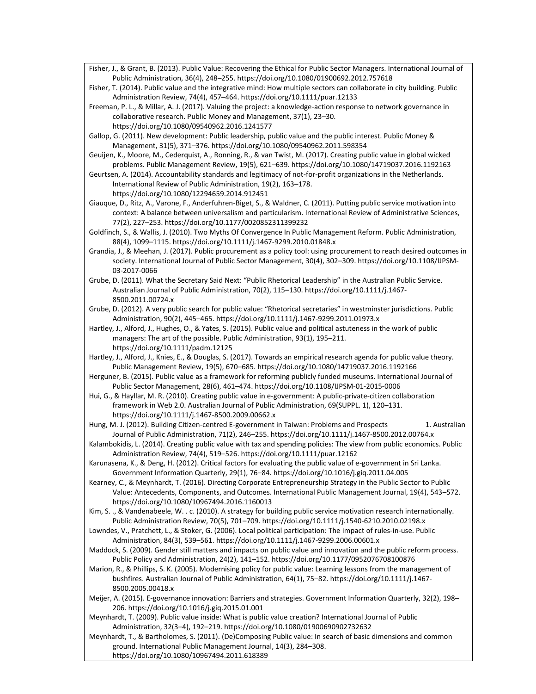- Fisher, J., & Grant, B. (2013). Public Value: Recovering the Ethical for Public Sector Managers. International Journal of Public Administration, 36(4), 248-255. https://doi.org/10.1080/01900692.2012.757618
- Fisher, T. (2014). Public value and the integrative mind: How multiple sectors can collaborate in city building. Public Administration Review, 74(4), 457-464. https://doi.org/10.1111/puar.12133
- Freeman, P. L., & Millar, A. J. (2017). Valuing the project: a knowledge-action response to network governance in collaborative research. Public Money and Management, 37(1), 23-30. https://doi.org/10.1080/09540962.2016.1241577
- Gallop, G. (2011). New development: Public leadership, public value and the public interest. Public Money & Management, 31(5), 371-376. https://doi.org/10.1080/09540962.2011.598354
- Geuijen, K., Moore, M., Cederquist, A., Ronning, R., & van Twist, M. (2017). Creating public value in global wicked problems. Public Management Review, 19(5), 621-639. https://doi.org/10.1080/14719037.2016.1192163
- Geurtsen, A. (2014). Accountability standards and legitimacy of not-for-profit organizations in the Netherlands. International Review of Public Administration, 19(2), 163-178. https://doi.org/10.1080/12294659.2014.912451
- Giauque, D., Ritz, A., Varone, F., Anderfuhren-Biget, S., & Waldner, C. (2011). Putting public service motivation into context: A balance between universalism and particularism. International Review of Administrative Sciences, 77(2), 227-253. https://doi.org/10.1177/0020852311399232
- Goldfinch, S., & Wallis, J. (2010). Two Myths Of Convergence In Public Management Reform. Public Administration, 88(4), 1099-1115. https://doi.org/10.1111/j.1467-9299.2010.01848.x
- Grandia, J., & Meehan, J. (2017). Public procurement as a policy tool: using procurement to reach desired outcomes in society. International Journal of Public Sector Management, 30(4), 302-309. https://doi.org/10.1108/IJPSM-03-2017-0066
- Grube, D. (2011). What the Secretary Said Next: "Public Rhetorical Leadership" in the Australian Public Service. Australian Journal of Public Administration, 70(2), 115-130. https://doi.org/10.1111/j.1467-8500.2011.00724.x
- Grube, D. (2012). A very public search for public value: "Rhetorical secretaries" in westminster jurisdictions. Public Administration, 90(2), 445-465. https://doi.org/10.1111/j.1467-9299.2011.01973.x
- Hartley, J., Alford, J., Hughes, O., & Yates, S. (2015). Public value and political astuteness in the work of public managers: The art of the possible. Public Administration, 93(1), 195-211. https://doi.org/10.1111/padm.12125
- Hartley, J., Alford, J., Knies, E., & Douglas, S. (2017). Towards an empirical research agenda for public value theory. Public Management Review, 19(5), 670-685. https://doi.org/10.1080/14719037.2016.1192166
- Herguner, B. (2015). Public value as a framework for reforming publicly funded museums. International Journal of Public Sector Management, 28(6), 461-474. https://doi.org/10.1108/IJPSM-01-2015-0006
- Hui, G., & Hayllar, M. R. (2010). Creating public value in e-government: A public-private-citizen collaboration framework in Web 2.0. Australian Journal of Public Administration, 69(SUPPL. 1), 120-131. https://doi.org/10.1111/j.1467-8500.2009.00662.x
- Hung, M. J. (2012). Building Citizen-centred E-government in Taiwan: Problems and Prospects 1. Australian Journal of Public Administration, 71(2), 246-255. https://doi.org/10.1111/j.1467-8500.2012.00764.x
- Kalambokidis, L. (2014). Creating public value with tax and spending policies: The view from public economics. Public Administration Review, 74(4), 519-526. https://doi.org/10.1111/puar.12162
- Karunasena, K., & Deng, H. (2012). Critical factors for evaluating the public value of e-government in Sri Lanka. Government Information Quarterly, 29(1), 76-84. https://doi.org/10.1016/j.giq.2011.04.005
- Kearney, C., & Meynhardt, T. (2016). Directing Corporate Entrepreneurship Strategy in the Public Sector to Public Value: Antecedents, Components, and Outcomes. International Public Management Journal, 19(4), 543-572. https://doi.org/10.1080/10967494.2016.1160013
- Kim, S. ., & Vandenabeele, W. . c. (2010). A strategy for building public service motivation research internationally. Public Administration Review, 70(5), 701-709. https://doi.org/10.1111/j.1540-6210.2010.02198.x
- Lowndes, V., Pratchett, L., & Stoker, G. (2006). Local political participation: The impact of rules-in-use. Public Administration, 84(3), 539-561. https://doi.org/10.1111/j.1467-9299.2006.00601.x
- Maddock, S. (2009). Gender still matters and impacts on public value and innovation and the public reform process. Public Policy and Administration, 24(2), 141-152. https://doi.org/10.1177/0952076708100876
- Marion, R., & Phillips, S. K. (2005). Modernising policy for public value: Learning lessons from the management of bushfires. Australian Journal of Public Administration, 64(1), 75-82. https://doi.org/10.1111/j.1467-8500.2005.00418.x
- Meijer, A. (2015). E-governance innovation: Barriers and strategies. Government Information Quarterly, 32(2), 198-206. https://doi.org/10.1016/j.giq.2015.01.001
- Meynhardt, T. (2009). Public value inside: What is public value creation? International Journal of Public Administration, 32(3-4), 192-219. https://doi.org/10.1080/01900690902732632

Meynhardt, T., & Bartholomes, S. (2011). (De)Composing Public value: In search of basic dimensions and common ground. International Public Management Journal, 14(3), 284-308. https://doi.org/10.1080/10967494.2011.618389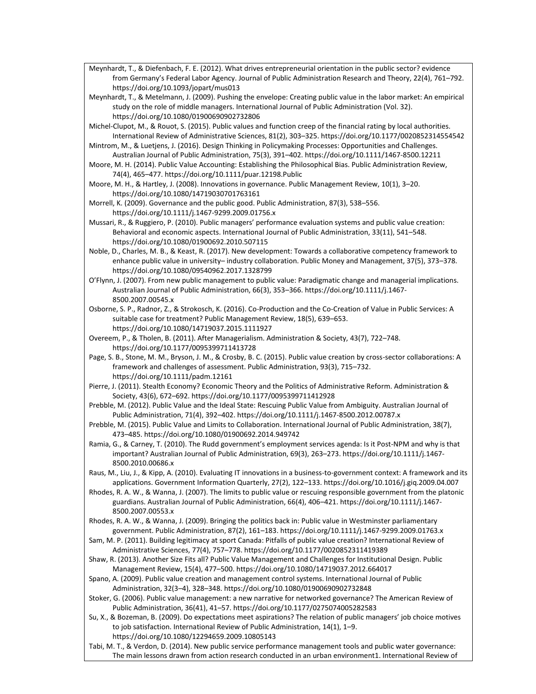Meynhardt, T., & Diefenbach, F. E. (2012). What drives entrepreneurial orientation in the public sector? evidence from Germany's Federal Labor Agency. Journal of Public Administration Research and Theory, 22(4), 761–792. https://doi.org/10.1093/jopart/mus013

- Meynhardt, T., & Metelmann, J. (2009). Pushing the envelope: Creating public value in the labor market: An empirical study on the role of middle managers. International Journal of Public Administration (Vol. 32). https://doi.org/10.1080/01900690902732806
- Michel-Clupot, M., & Rouot, S. (2015). Public values and function creep of the financial rating by local authorities. International Review of Administrative Sciences, 81(2), 303-325. https://doi.org/10.1177/0020852314554542
- Mintrom, M., & Luetjens, J. (2016). Design Thinking in Policymaking Processes: Opportunities and Challenges. Australian Journal of Public Administration, 75(3), 391-402. https://doi.org/10.1111/1467-8500.12211
- Moore, M. H. (2014). Public Value Accounting: Establishing the Philosophical Bias. Public Administration Review, 74(4), 465-477. https://doi.org/10.1111/puar.12198.Public

Moore, M. H., & Hartley, J. (2008). Innovations in governance. Public Management Review, 10(1), 3-20. https://doi.org/10.1080/14719030701763161

Morrell, K. (2009). Governance and the public good. Public Administration, 87(3), 538-556. https://doi.org/10.1111/j.1467-9299.2009.01756.x

- Mussari, R., & Ruggiero, P. (2010). Public managers' performance evaluation systems and public value creation: Behavioral and economic aspects. International Journal of Public Administration, 33(11), 541-548. https://doi.org/10.1080/01900692.2010.507115
- Noble, D., Charles, M. B., & Keast, R. (2017). New development: Towards a collaborative competency framework to enhance public value in university-industry collaboration. Public Money and Management, 37(5), 373-378. https://doi.org/10.1080/09540962.2017.1328799
- O'Flynn, J. (2007). From new public management to public value: Paradigmatic change and managerial implications. Australian Journal of Public Administration, 66(3), 353-366. https://doi.org/10.1111/j.1467-8500.2007.00545.x
- Osborne, S. P., Radnor, Z., & Strokosch, K. (2016). Co-Production and the Co-Creation of Value in Public Services: A suitable case for treatment? Public Management Review, 18(5), 639-653. https://doi.org/10.1080/14719037.2015.1111927
- Overeem, P., & Tholen, B. (2011). After Managerialism. Administration & Society, 43(7), 722-748. https://doi.org/10.1177/0095399711413728
- Page, S. B., Stone, M. M., Bryson, J. M., & Crosby, B. C. (2015). Public value creation by cross-sector collaborations: A framework and challenges of assessment. Public Administration, 93(3), 715-732. https://doi.org/10.1111/padm.12161

Pierre, J. (2011). Stealth Economy? Economic Theory and the Politics of Administrative Reform. Administration & Society, 43(6), 672-692. https://doi.org/10.1177/0095399711412928

Prebble, M. (2012). Public Value and the Ideal State: Rescuing Public Value from Ambiguity. Australian Journal of Public Administration, 71(4), 392-402. https://doi.org/10.1111/j.1467-8500.2012.00787.x

- Prebble, M. (2015). Public Value and Limits to Collaboration. International Journal of Public Administration, 38(7), 473-485. https://doi.org/10.1080/01900692.2014.949742
- Ramia, G., & Carney, T. (2010). The Rudd government's employment services agenda: Is it Post-NPM and why is that important? Australian Journal of Public Administration, 69(3), 263-273. https://doi.org/10.1111/j.1467-8500.2010.00686.x

Raus, M., Liu, J., & Kipp, A. (2010). Evaluating IT innovations in a business-to-government context: A framework and its applications. Government Information Quarterly, 27(2), 122-133. https://doi.org/10.1016/j.giq.2009.04.007

- Rhodes, R. A. W., & Wanna, J. (2007). The limits to public value or rescuing responsible government from the platonic guardians. Australian Journal of Public Administration, 66(4), 406-421. https://doi.org/10.1111/j.1467-8500.2007.00553.x
- Rhodes, R. A. W., & Wanna, J. (2009). Bringing the politics back in: Public value in Westminster parliamentary government. Public Administration, 87(2), 161-183. https://doi.org/10.1111/j.1467-9299.2009.01763.x
- Sam, M. P. (2011). Building legitimacy at sport Canada: Pitfalls of public value creation? International Review of Administrative Sciences, 77(4), 757-778. https://doi.org/10.1177/0020852311419389
- Shaw, R. (2013). Another Size Fits all? Public Value Management and Challenges for Institutional Design. Public Management Review, 15(4), 477-500. https://doi.org/10.1080/14719037.2012.664017

Spano, A. (2009). Public value creation and management control systems. International Journal of Public Administration, 32(3-4), 328-348. https://doi.org/10.1080/01900690902732848

Stoker, G. (2006). Public value management: a new narrative for networked governance? The American Review of Public Administration, 36(41), 41-57. https://doi.org/10.1177/0275074005282583

Su, X., & Bozeman, B. (2009). Do expectations meet aspirations? The relation of public managers' job choice motives to job satisfaction. International Review of Public Administration, 14(1), 1-9. https://doi.org/10.1080/12294659.2009.10805143

Tabi, M. T., & Verdon, D. (2014). New public service performance management tools and public water governance: The main lessons drawn from action research conducted in an urban environment1. International Review of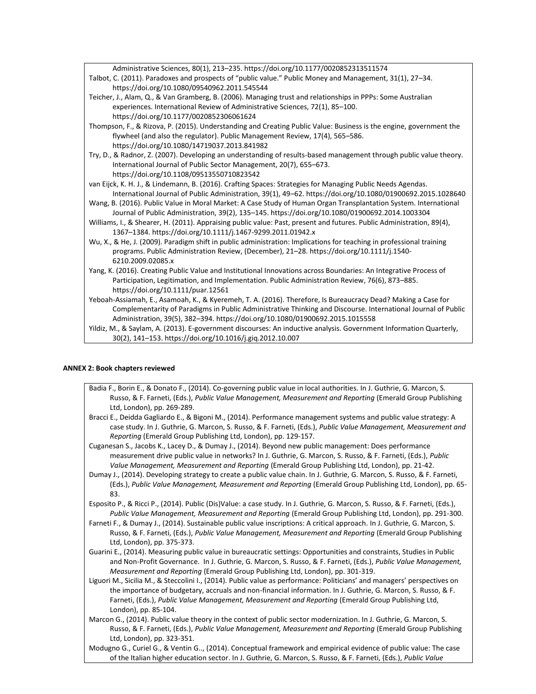| Administrative Sciences, 80(1), 213-235. https://doi.org/10.1177/0020852313511574                                     |  |  |  |  |
|-----------------------------------------------------------------------------------------------------------------------|--|--|--|--|
| Talbot, C. (2011). Paradoxes and prospects of "public value." Public Money and Management, 31(1), 27-34.              |  |  |  |  |
| https://doi.org/10.1080/09540962.2011.545544                                                                          |  |  |  |  |
| Teicher, J., Alam, Q., & Van Gramberg, B. (2006). Managing trust and relationships in PPPs: Some Australian           |  |  |  |  |
| experiences. International Review of Administrative Sciences, 72(1), 85-100.                                          |  |  |  |  |
| https://doi.org/10.1177/0020852306061624                                                                              |  |  |  |  |
| Thompson, F., & Rizova, P. (2015). Understanding and Creating Public Value: Business is the engine, government the    |  |  |  |  |
| flywheel (and also the regulator). Public Management Review, 17(4), 565-586.                                          |  |  |  |  |
| https://doi.org/10.1080/14719037.2013.841982                                                                          |  |  |  |  |
| Try, D., & Radnor, Z. (2007). Developing an understanding of results-based management through public value theory.    |  |  |  |  |
| International Journal of Public Sector Management, 20(7), 655–673.                                                    |  |  |  |  |
| https://doi.org/10.1108/09513550710823542                                                                             |  |  |  |  |
| van Eijck, K. H. J., & Lindemann, B. (2016). Crafting Spaces: Strategies for Managing Public Needs Agendas.           |  |  |  |  |
| International Journal of Public Administration, 39(1), 49-62. https://doi.org/10.1080/01900692.2015.1028640           |  |  |  |  |
| Wang, B. (2016). Public Value in Moral Market: A Case Study of Human Organ Transplantation System. International      |  |  |  |  |
| Journal of Public Administration, 39(2), 135-145. https://doi.org/10.1080/01900692.2014.1003304                       |  |  |  |  |
| Williams, I., & Shearer, H. (2011). Appraising public value: Past, present and futures. Public Administration, 89(4), |  |  |  |  |
| 1367-1384. https://doi.org/10.1111/j.1467-9299.2011.01942.x                                                           |  |  |  |  |
| Wu, X., & He, J. (2009). Paradigm shift in public administration: Implications for teaching in professional training  |  |  |  |  |
| programs. Public Administration Review, (December), 21-28. https://doi.org/10.1111/j.1540-                            |  |  |  |  |
| 6210.2009.02085.x                                                                                                     |  |  |  |  |
| Yang, K. (2016). Creating Public Value and Institutional Innovations across Boundaries: An Integrative Process of     |  |  |  |  |
| Participation, Legitimation, and Implementation. Public Administration Review, 76(6), 873-885.                        |  |  |  |  |
| https://doi.org/10.1111/puar.12561                                                                                    |  |  |  |  |
| Yeboah-Assiamah, E., Asamoah, K., & Kyeremeh, T. A. (2016). Therefore, Is Bureaucracy Dead? Making a Case for         |  |  |  |  |
| Complementarity of Paradigms in Public Administrative Thinking and Discourse. International Journal of Public         |  |  |  |  |
| Administration, 39(5), 382-394. https://doi.org/10.1080/01900692.2015.1015558                                         |  |  |  |  |
| Yildiz, M., & Saylam, A. (2013). E-government discourses: An inductive analysis. Government Information Quarterly,    |  |  |  |  |
| 30(2), 141-153. https://doi.org/10.1016/j.giq.2012.10.007                                                             |  |  |  |  |
|                                                                                                                       |  |  |  |  |

#### **ANNEX 2: Book chapters reviewed**

- Badia F., Borin E., & Donato F., (2014). Co-governing public value in local authorities. In J. Guthrie, G. Marcon, S. Russo, & F. Farneti, (Eds.), *Public Value Management, Measurement and Reporting* (Emerald Group Publishing Ltd, London), pp. 269-289.
- Bracci E., Deidda Gagliardo E., & Bigoni M., (2014). Performance management systems and public value strategy: A case study. In J. Guthrie, G. Marcon, S. Russo, & F. Farneti, (Eds.), *Public Value Management, Measurement and Reporting* (Emerald Group Publishing Ltd, London), pp. 129-157.
- Cuganesan S., Jacobs K., Lacey D., & Dumay J., (2014). Beyond new public management: Does performance measurement drive public value in networks? In J. Guthrie, G. Marcon, S. Russo, & F. Farneti, (Eds.), *Public Value Management, Measurement and Reporting* (Emerald Group Publishing Ltd, London), pp. 21-42.
- Dumay J., (2014). Developing strategy to create a public value chain. In J. Guthrie, G. Marcon, S. Russo, & F. Farneti, (Eds.), *Public Value Management, Measurement and Reporting* (Emerald Group Publishing Ltd, London), pp. 65- 83.
- Esposito P., & Ricci P., (2014). Public (Dis)Value: a case study. In J. Guthrie, G. Marcon, S. Russo, & F. Farneti, (Eds.), *Public Value Management, Measurement and Reporting* (Emerald Group Publishing Ltd, London), pp. 291-300.
- Farneti F., & Dumay J., (2014). Sustainable public value inscriptions: A critical approach. In J. Guthrie, G. Marcon, S. Russo, & F. Farneti, (Eds.), *Public Value Management, Measurement and Reporting* (Emerald Group Publishing Ltd, London), pp. 375-373.
- Guarini E., (2014). Measuring public value in bureaucratic settings: Opportunities and constraints, Studies in Public and Non-Profit Governance. In J. Guthrie, G. Marcon, S. Russo, & F. Farneti, (Eds.), *Public Value Management, Measurement and Reporting* (Emerald Group Publishing Ltd, London), pp. 301-319.
- Liguori M., Sicilia M., & Steccolini I., (2014). Public value as performance: Politicians' and managers' perspectives on the importance of budgetary, accruals and non-financial information. In J. Guthrie, G. Marcon, S. Russo, & F. Farneti, (Eds.), *Public Value Management, Measurement and Reporting* (Emerald Group Publishing Ltd, London), pp. 85-104.
- Marcon G., (2014). Public value theory in the context of public sector modernization. In J. Guthrie, G. Marcon, S. Russo, & F. Farneti, (Eds.), *Public Value Management, Measurement and Reporting* (Emerald Group Publishing Ltd, London), pp. 323-351.

Modugno G., Curiel G., & Ventin G.., (2014). Conceptual framework and empirical evidence of public value: The case of the Italian higher education sector. In J. Guthrie, G. Marcon, S. Russo, & F. Farneti, (Eds.), *Public Value*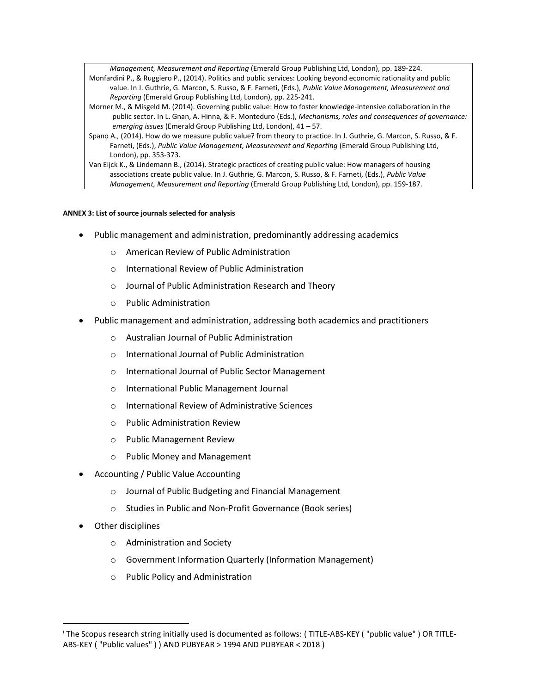*Management, Measurement and Reporting* (Emerald Group Publishing Ltd, London), pp. 189-224. Monfardini P., & Ruggiero P., (2014). Politics and public services: Looking beyond economic rationality and public value. In J. Guthrie, G. Marcon, S. Russo, & F. Farneti, (Eds.), *Public Value Management, Measurement and Reporting* (Emerald Group Publishing Ltd, London), pp. 225-241.

Morner M., & Misgeld M. (2014). Governing public value: How to foster knowledge-intensive collaboration in the public sector. In L. Gnan, A. Hinna, & F. Monteduro (Eds.), *Mechanisms, roles and consequences of governance: emerging issues* (Emerald Group Publishing Ltd, London), 41 − 57.

Spano A., (2014). How do we measure public value? from theory to practice. In J. Guthrie, G. Marcon, S. Russo, & F. Farneti, (Eds.), *Public Value Management, Measurement and Reporting* (Emerald Group Publishing Ltd, London), pp. 353-373.

Van Eijck K., & Lindemann B., (2014). Strategic practices of creating public value: How managers of housing associations create public value. In J. Guthrie, G. Marcon, S. Russo, & F. Farneti, (Eds.), *Public Value Management, Measurement and Reporting* (Emerald Group Publishing Ltd, London), pp. 159-187.

#### **ANNEX 3: List of source journals selected for analysis**

- Public management and administration, predominantly addressing academics
	- o American Review of Public Administration
	- o International Review of Public Administration
	- o Journal of Public Administration Research and Theory
	- o Public Administration
- Public management and administration, addressing both academics and practitioners
	- o Australian Journal of Public Administration
	- o International Journal of Public Administration
	- o International Journal of Public Sector Management
	- o International Public Management Journal
	- o International Review of Administrative Sciences
	- o Public Administration Review
	- o Public Management Review
	- o Public Money and Management
- Accounting / Public Value Accounting
	- o Journal of Public Budgeting and Financial Management
	- o Studies in Public and Non-Profit Governance (Book series)
- Other disciplines

l

- o Administration and Society
- o Government Information Quarterly (Information Management)
- o Public Policy and Administration

i The Scopus research string initially used is documented as follows: ( TITLE-ABS-KEY ( "public value" ) OR TITLE-ABS-KEY ( "Public values" ) ) AND PUBYEAR > 1994 AND PUBYEAR < 2018 )